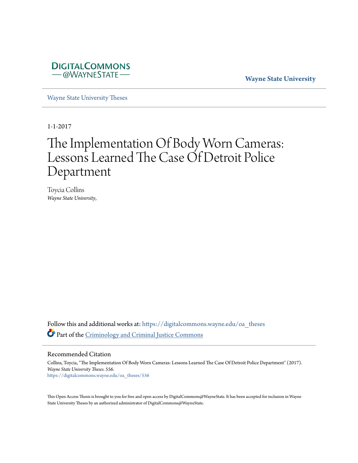

**Wayne State University**

[Wayne State University Theses](https://digitalcommons.wayne.edu/oa_theses?utm_source=digitalcommons.wayne.edu%2Foa_theses%2F556&utm_medium=PDF&utm_campaign=PDFCoverPages)

1-1-2017

# The Implementation Of Body Worn Cameras: Lessons Learned The Case Of Detroit Police Department

Toycia Collins *Wayne State University*,

Follow this and additional works at: [https://digitalcommons.wayne.edu/oa\\_theses](https://digitalcommons.wayne.edu/oa_theses?utm_source=digitalcommons.wayne.edu%2Foa_theses%2F556&utm_medium=PDF&utm_campaign=PDFCoverPages) Part of the [Criminology and Criminal Justice Commons](http://network.bepress.com/hgg/discipline/367?utm_source=digitalcommons.wayne.edu%2Foa_theses%2F556&utm_medium=PDF&utm_campaign=PDFCoverPages)

Recommended Citation

Collins, Toycia, "The Implementation Of Body Worn Cameras: Lessons Learned The Case Of Detroit Police Department" (2017). *Wayne State University Theses*. 556. [https://digitalcommons.wayne.edu/oa\\_theses/556](https://digitalcommons.wayne.edu/oa_theses/556?utm_source=digitalcommons.wayne.edu%2Foa_theses%2F556&utm_medium=PDF&utm_campaign=PDFCoverPages)

This Open Access Thesis is brought to you for free and open access by DigitalCommons@WayneState. It has been accepted for inclusion in Wayne State University Theses by an authorized administrator of DigitalCommons@WayneState.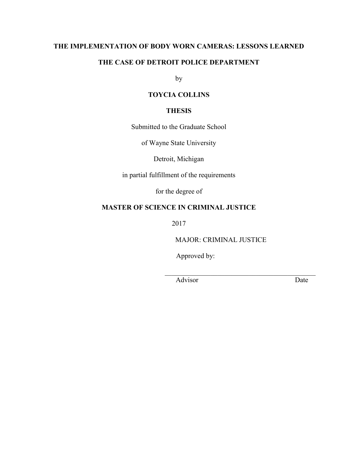## **THE IMPLEMENTATION OF BODY WORN CAMERAS: LESSONS LEARNED**

## **THE CASE OF DETROIT POLICE DEPARTMENT**

by

# **TOYCIA COLLINS**

### **THESIS**

Submitted to the Graduate School

of Wayne State University

Detroit, Michigan

in partial fulfillment of the requirements

for the degree of

## **MASTER OF SCIENCE IN CRIMINAL JUSTICE**

2017

MAJOR: CRIMINAL JUSTICE

\_\_\_\_\_\_\_\_\_\_\_\_\_\_\_\_\_\_\_\_\_\_\_\_\_\_\_\_\_\_\_\_\_\_\_\_\_\_\_\_\_\_\_

Approved by:

Advisor Date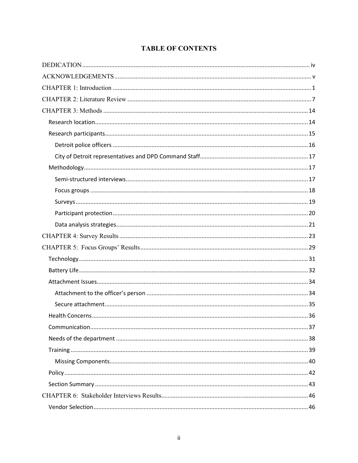# **TABLE OF CONTENTS**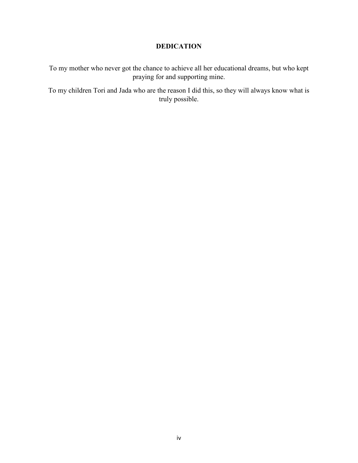# **DEDICATION**

To my mother who never got the chance to achieve all her educational dreams, but who kept praying for and supporting mine.

To my children Tori and Jada who are the reason I did this, so they will always know what is truly possible.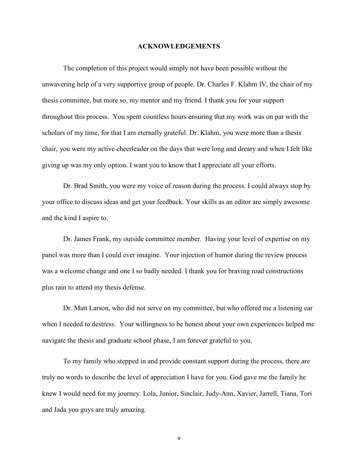#### **ACKNOWLEDGEMENTS**

The completion of this project would simply not have been possible without the unwavering help of a very supportive group of people. Dr. Charles F. Klahm IV, the chair of my thesis committee, but more so, my mentor and my friend. I thank you for your support throughout this process. You spent countless hours ensuring that my work was on par with the scholars of my time, for that I am eternally grateful. Dr. Klahm, you were more than a thesis chair, you were my active cheerleader on the days that were long and dreary and when I felt like giving up was my only option. I want you to know that I appreciate all your efforts.

Dr. Brad Smith, you were my voice of reason during the process. I could always stop by your office to discuss ideas and get your feedback. Your skills as an editor are simply awesome and the kind I aspire to.

Dr. James Frank, my outside committee member. Having your level of expertise on my panel was more than I could ever imagine. Your injection of humor during the review process was a welcome change and one I so badly needed. I thank you for braving road constructions plus rain to attend my thesis defense.

Dr. Matt Larson, who did not serve on my committee, but who offered me a listening ear when I needed to destress. Your willingness to be honest about your own experiences helped me navigate the thesis and graduate school phase, I am forever grateful to you.

To my family who stepped in and provide constant support during the process, there are truly no words to describe the level of appreciation I have for you. God gave me the family he knew I would need for my journey. Lola, Junior, Sinclair, Judy-Ann, Xavier, Jarrell, Tiana, Tori and Jada you guys are truly amazing.

v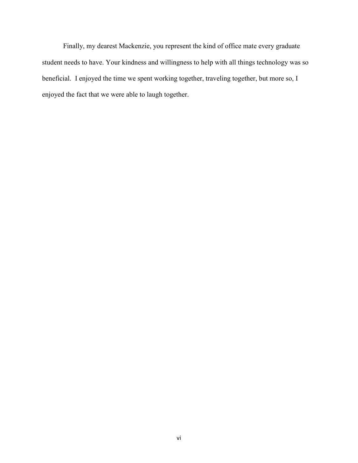Finally, my dearest Mackenzie, you represent the kind of office mate every graduate student needs to have. Your kindness and willingness to help with all things technology was so beneficial. I enjoyed the time we spent working together, traveling together, but more so, I enjoyed the fact that we were able to laugh together.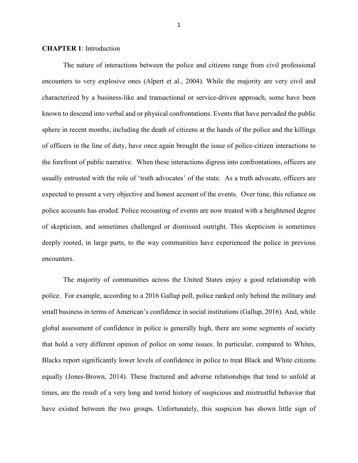#### **CHAPTER 1**: Introduction

The nature of interactions between the police and citizens range from civil professional encounters to very explosive ones (Alpert et al., 2004). While the majority are very civil and characterized by a business-like and transactional or service-driven approach, some have been known to descend into verbal and or physical confrontations. Events that have pervaded the public sphere in recent months, including the death of citizens at the hands of the police and the killings of officers in the line of duty, have once again brought the issue of police-citizen interactions to the forefront of public narrative. When these interactions digress into confrontations, officers are usually entrusted with the role of 'truth advocates' of the state. As a truth advocate, officers are expected to present a very objective and honest account of the events. Over time, this reliance on police accounts has eroded. Police recounting of events are now treated with a heightened degree of skepticism, and sometimes challenged or dismissed outright. This skepticism is sometimes deeply rooted, in large parts, to the way communities have experienced the police in previous encounters.

The majority of communities across the United States enjoy a good relationship with police. For example, according to a 2016 Gallup poll, police ranked only behind the military and small business in terms of American's confidence in social institutions (Gallup, 2016). And, while global assessment of confidence in police is generally high, there are some segments of society that hold a very different opinion of police on some issues. In particular, compared to Whites, Blacks report significantly lower levels of confidence in police to treat Black and White citizens equally (Jones-Brown, 2014). These fractured and adverse relationships that tend to unfold at times, are the result of a very long and torrid history of suspicious and mistrustful behavior that have existed between the two groups. Unfortunately, this suspicion has shown little sign of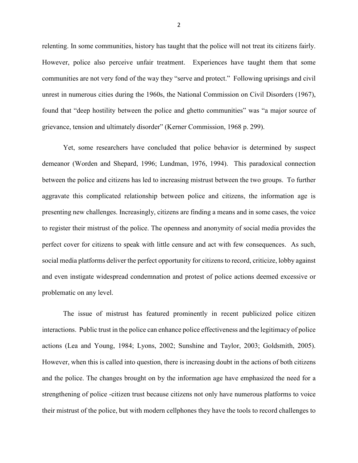relenting. In some communities, history has taught that the police will not treat its citizens fairly. However, police also perceive unfair treatment. Experiences have taught them that some communities are not very fond of the way they "serve and protect." Following uprisings and civil unrest in numerous cities during the 1960s, the National Commission on Civil Disorders (1967), found that "deep hostility between the police and ghetto communities" was "a major source of grievance, tension and ultimately disorder" (Kerner Commission, 1968 p. 299).

Yet, some researchers have concluded that police behavior is determined by suspect demeanor (Worden and Shepard, 1996; Lundman, 1976, 1994). This paradoxical connection between the police and citizens has led to increasing mistrust between the two groups. To further aggravate this complicated relationship between police and citizens, the information age is presenting new challenges. Increasingly, citizens are finding a means and in some cases, the voice to register their mistrust of the police. The openness and anonymity of social media provides the perfect cover for citizens to speak with little censure and act with few consequences. As such, social media platforms deliver the perfect opportunity for citizens to record, criticize, lobby against and even instigate widespread condemnation and protest of police actions deemed excessive or problematic on any level.

The issue of mistrust has featured prominently in recent publicized police citizen interactions. Public trust in the police can enhance police effectiveness and the legitimacy of police actions (Lea and Young, 1984; Lyons, 2002; Sunshine and Taylor, 2003; Goldsmith, 2005). However, when this is called into question, there is increasing doubt in the actions of both citizens and the police. The changes brought on by the information age have emphasized the need for a strengthening of police -citizen trust because citizens not only have numerous platforms to voice their mistrust of the police, but with modern cellphones they have the tools to record challenges to

2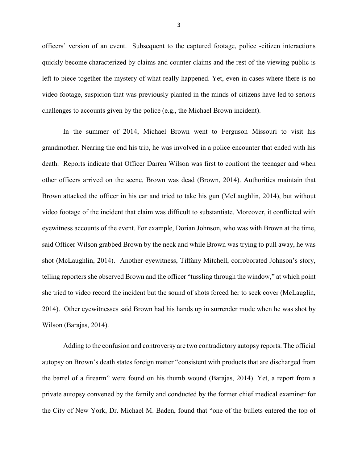officers' version of an event. Subsequent to the captured footage, police -citizen interactions quickly become characterized by claims and counter-claims and the rest of the viewing public is left to piece together the mystery of what really happened. Yet, even in cases where there is no video footage, suspicion that was previously planted in the minds of citizens have led to serious challenges to accounts given by the police (e.g., the Michael Brown incident).

In the summer of 2014, Michael Brown went to Ferguson Missouri to visit his grandmother. Nearing the end his trip, he was involved in a police encounter that ended with his death. Reports indicate that Officer Darren Wilson was first to confront the teenager and when other officers arrived on the scene, Brown was dead (Brown, 2014). Authorities maintain that Brown attacked the officer in his car and tried to take his gun (McLaughlin, 2014), but without video footage of the incident that claim was difficult to substantiate. Moreover, it conflicted with eyewitness accounts of the event. For example, Dorian Johnson, who was with Brown at the time, said Officer Wilson grabbed Brown by the neck and while Brown was trying to pull away, he was shot (McLaughlin, 2014). Another eyewitness, Tiffany Mitchell, corroborated Johnson's story, telling reporters she observed Brown and the officer "tussling through the window," at which point she tried to video record the incident but the sound of shots forced her to seek cover (McLauglin, 2014). Other eyewitnesses said Brown had his hands up in surrender mode when he was shot by Wilson (Barajas, 2014).

Adding to the confusion and controversy are two contradictory autopsy reports. The official autopsy on Brown's death states foreign matter "consistent with products that are discharged from the barrel of a firearm" were found on his thumb wound (Barajas, 2014). Yet, a report from a private autopsy convened by the family and conducted by the former chief medical examiner for the City of New York, Dr. Michael M. Baden, found that "one of the bullets entered the top of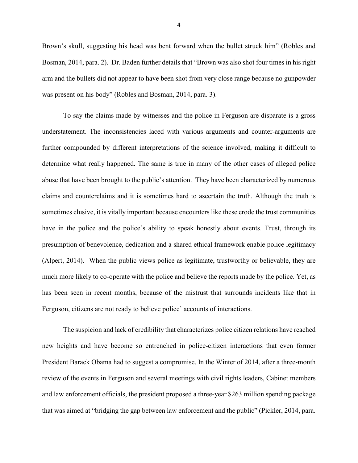Brown's skull, suggesting his head was bent forward when the bullet struck him" (Robles and Bosman, 2014, para. 2). Dr. Baden further details that "Brown was also shot four times in his right arm and the bullets did not appear to have been shot from very close range because no gunpowder was present on his body" (Robles and Bosman, 2014, para. 3).

To say the claims made by witnesses and the police in Ferguson are disparate is a gross understatement. The inconsistencies laced with various arguments and counter-arguments are further compounded by different interpretations of the science involved, making it difficult to determine what really happened. The same is true in many of the other cases of alleged police abuse that have been brought to the public's attention. They have been characterized by numerous claims and counterclaims and it is sometimes hard to ascertain the truth. Although the truth is sometimes elusive, it is vitally important because encounters like these erode the trust communities have in the police and the police's ability to speak honestly about events. Trust, through its presumption of benevolence, dedication and a shared ethical framework enable police legitimacy (Alpert, 2014). When the public views police as legitimate, trustworthy or believable, they are much more likely to co-operate with the police and believe the reports made by the police. Yet, as has been seen in recent months, because of the mistrust that surrounds incidents like that in Ferguson, citizens are not ready to believe police' accounts of interactions.

The suspicion and lack of credibility that characterizes police citizen relations have reached new heights and have become so entrenched in police-citizen interactions that even former President Barack Obama had to suggest a compromise. In the Winter of 2014, after a three-month review of the events in Ferguson and several meetings with civil rights leaders, Cabinet members and law enforcement officials, the president proposed a three-year \$263 million spending package that was aimed at "bridging the gap between law enforcement and the public" (Pickler, 2014, para.

4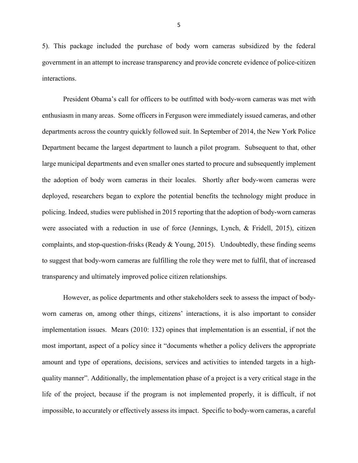5). This package included the purchase of body worn cameras subsidized by the federal government in an attempt to increase transparency and provide concrete evidence of police-citizen interactions.

President Obama's call for officers to be outfitted with body-worn cameras was met with enthusiasm in many areas. Some officers in Ferguson were immediately issued cameras, and other departments across the country quickly followed suit. In September of 2014, the New York Police Department became the largest department to launch a pilot program. Subsequent to that, other large municipal departments and even smaller ones started to procure and subsequently implement the adoption of body worn cameras in their locales. Shortly after body-worn cameras were deployed, researchers began to explore the potential benefits the technology might produce in policing. Indeed, studies were published in 2015 reporting that the adoption of body-worn cameras were associated with a reduction in use of force (Jennings, Lynch, & Fridell, 2015), citizen complaints, and stop-question-frisks (Ready & Young, 2015). Undoubtedly, these finding seems to suggest that body-worn cameras are fulfilling the role they were met to fulfil, that of increased transparency and ultimately improved police citizen relationships.

However, as police departments and other stakeholders seek to assess the impact of bodyworn cameras on, among other things, citizens' interactions, it is also important to consider implementation issues. Mears (2010: 132) opines that implementation is an essential, if not the most important, aspect of a policy since it "documents whether a policy delivers the appropriate amount and type of operations, decisions, services and activities to intended targets in a highquality manner". Additionally, the implementation phase of a project is a very critical stage in the life of the project, because if the program is not implemented properly, it is difficult, if not impossible, to accurately or effectively assess its impact. Specific to body-worn cameras, a careful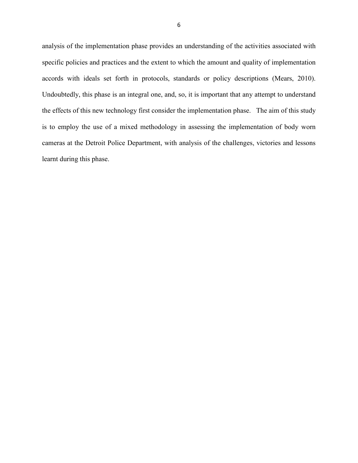analysis of the implementation phase provides an understanding of the activities associated with specific policies and practices and the extent to which the amount and quality of implementation accords with ideals set forth in protocols, standards or policy descriptions (Mears, 2010). Undoubtedly, this phase is an integral one, and, so, it is important that any attempt to understand the effects of this new technology first consider the implementation phase. The aim of this study is to employ the use of a mixed methodology in assessing the implementation of body worn cameras at the Detroit Police Department, with analysis of the challenges, victories and lessons learnt during this phase.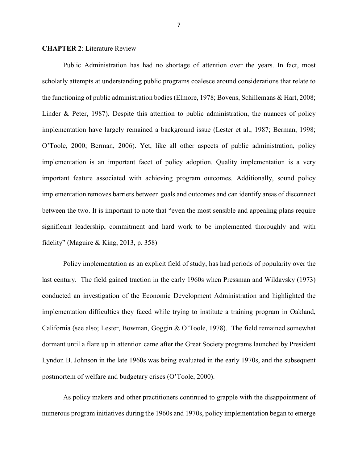#### **CHAPTER 2**: Literature Review

Public Administration has had no shortage of attention over the years. In fact, most scholarly attempts at understanding public programs coalesce around considerations that relate to the functioning of public administration bodies (Elmore, 1978; Bovens, Schillemans & Hart, 2008; Linder & Peter, 1987). Despite this attention to public administration, the nuances of policy implementation have largely remained a background issue (Lester et al., 1987; Berman, 1998; O'Toole, 2000; Berman, 2006). Yet, like all other aspects of public administration, policy implementation is an important facet of policy adoption. Quality implementation is a very important feature associated with achieving program outcomes. Additionally, sound policy implementation removes barriers between goals and outcomes and can identify areas of disconnect between the two. It is important to note that "even the most sensible and appealing plans require significant leadership, commitment and hard work to be implemented thoroughly and with fidelity" (Maguire & King, 2013, p. 358)

Policy implementation as an explicit field of study, has had periods of popularity over the last century. The field gained traction in the early 1960s when Pressman and Wildavsky (1973) conducted an investigation of the Economic Development Administration and highlighted the implementation difficulties they faced while trying to institute a training program in Oakland, California (see also; Lester, Bowman, Goggin & O'Toole, 1978). The field remained somewhat dormant until a flare up in attention came after the Great Society programs launched by President Lyndon B. Johnson in the late 1960s was being evaluated in the early 1970s, and the subsequent postmortem of welfare and budgetary crises (O'Toole, 2000).

As policy makers and other practitioners continued to grapple with the disappointment of numerous program initiatives during the 1960s and 1970s, policy implementation began to emerge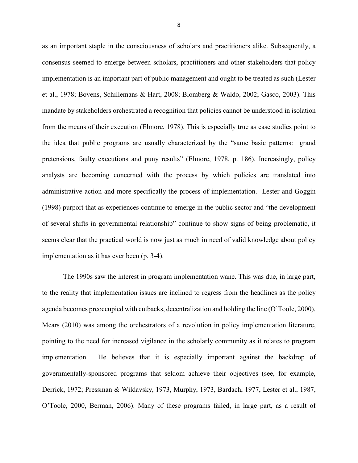as an important staple in the consciousness of scholars and practitioners alike. Subsequently, a consensus seemed to emerge between scholars, practitioners and other stakeholders that policy implementation is an important part of public management and ought to be treated as such (Lester et al., 1978; Bovens, Schillemans & Hart, 2008; Blomberg & Waldo, 2002; Gasco, 2003). This mandate by stakeholders orchestrated a recognition that policies cannot be understood in isolation from the means of their execution (Elmore, 1978). This is especially true as case studies point to the idea that public programs are usually characterized by the "same basic patterns: grand pretensions, faulty executions and puny results" (Elmore, 1978, p. 186). Increasingly, policy analysts are becoming concerned with the process by which policies are translated into administrative action and more specifically the process of implementation. Lester and Goggin (1998) purport that as experiences continue to emerge in the public sector and "the development of several shifts in governmental relationship" continue to show signs of being problematic, it seems clear that the practical world is now just as much in need of valid knowledge about policy implementation as it has ever been (p. 3-4).

The 1990s saw the interest in program implementation wane. This was due, in large part, to the reality that implementation issues are inclined to regress from the headlines as the policy agenda becomes preoccupied with cutbacks, decentralization and holding the line (O'Toole, 2000). Mears (2010) was among the orchestrators of a revolution in policy implementation literature, pointing to the need for increased vigilance in the scholarly community as it relates to program implementation. He believes that it is especially important against the backdrop of governmentally-sponsored programs that seldom achieve their objectives (see, for example, Derrick, 1972; Pressman & Wildavsky, 1973, Murphy, 1973, Bardach, 1977, Lester et al., 1987, O'Toole, 2000, Berman, 2006). Many of these programs failed, in large part, as a result of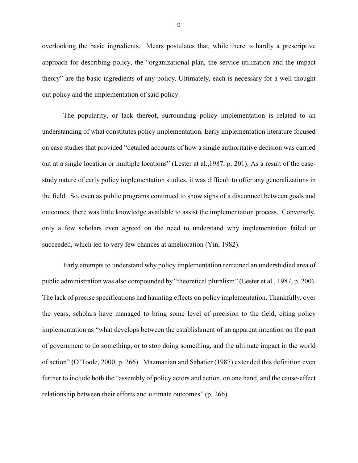overlooking the basic ingredients. Mears postulates that, while there is hardly a prescriptive approach for describing policy, the "organizational plan, the service-utilization and the impact theory" are the basic ingredients of any policy. Ultimately, each is necessary for a well-thought out policy and the implementation of said policy.

The popularity, or lack thereof, surrounding policy implementation is related to an understanding of what constitutes policy implementation. Early implementation literature focused on case studies that provided "detailed accounts of how a single authoritative decision was carried out at a single location or multiple locations" (Lester at al.,1987, p. 201). As a result of the casestudy nature of early policy implementation studies, it was difficult to offer any generalizations in the field. So, even as public programs continued to show signs of a disconnect between goals and outcomes, there was little knowledge available to assist the implementation process. Conversely, only a few scholars even agreed on the need to understand why implementation failed or succeeded, which led to very few chances at amelioration (Yin, 1982).

Early attempts to understand why policy implementation remained an understudied area of public administration was also compounded by "theoretical pluralism" (Lester et al., 1987, p. 200). The lack of precise specifications had haunting effects on policy implementation. Thankfully, over the years, scholars have managed to bring some level of precision to the field, citing policy implementation as "what develops between the establishment of an apparent intention on the part of government to do something, or to stop doing something, and the ultimate impact in the world of action" (O'Toole, 2000, p. 266). Mazmanian and Sabatier (1987) extended this definition even further to include both the "assembly of policy actors and action, on one hand, and the cause-effect relationship between their efforts and ultimate outcomes" (p. 266).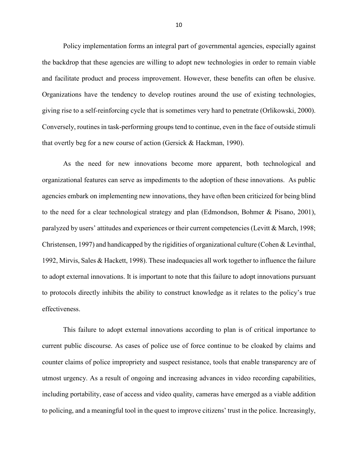Policy implementation forms an integral part of governmental agencies, especially against the backdrop that these agencies are willing to adopt new technologies in order to remain viable and facilitate product and process improvement. However, these benefits can often be elusive. Organizations have the tendency to develop routines around the use of existing technologies, giving rise to a self-reinforcing cycle that is sometimes very hard to penetrate (Orlikowski, 2000). Conversely, routines in task-performing groups tend to continue, even in the face of outside stimuli that overtly beg for a new course of action (Gersick & Hackman, 1990).

As the need for new innovations become more apparent, both technological and organizational features can serve as impediments to the adoption of these innovations. As public agencies embark on implementing new innovations, they have often been criticized for being blind to the need for a clear technological strategy and plan (Edmondson, Bohmer & Pisano, 2001), paralyzed by users' attitudes and experiences or their current competencies (Levitt & March, 1998; Christensen, 1997) and handicapped by the rigidities of organizational culture (Cohen & Levinthal, 1992, Mirvis, Sales & Hackett, 1998). These inadequacies all work together to influence the failure to adopt external innovations. It is important to note that this failure to adopt innovations pursuant to protocols directly inhibits the ability to construct knowledge as it relates to the policy's true effectiveness.

This failure to adopt external innovations according to plan is of critical importance to current public discourse. As cases of police use of force continue to be cloaked by claims and counter claims of police impropriety and suspect resistance, tools that enable transparency are of utmost urgency. As a result of ongoing and increasing advances in video recording capabilities, including portability, ease of access and video quality, cameras have emerged as a viable addition to policing, and a meaningful tool in the quest to improve citizens' trust in the police. Increasingly,

10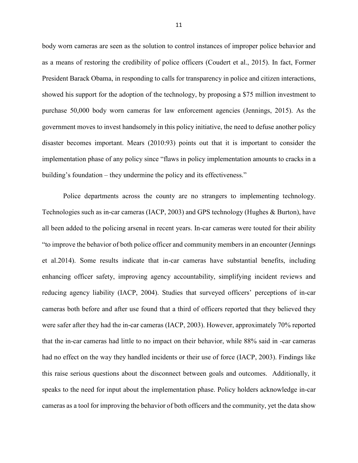body worn cameras are seen as the solution to control instances of improper police behavior and as a means of restoring the credibility of police officers (Coudert et al., 2015). In fact, Former President Barack Obama, in responding to calls for transparency in police and citizen interactions, showed his support for the adoption of the technology, by proposing a \$75 million investment to purchase 50,000 body worn cameras for law enforcement agencies (Jennings, 2015). As the government moves to invest handsomely in this policy initiative, the need to defuse another policy disaster becomes important. Mears (2010:93) points out that it is important to consider the implementation phase of any policy since "flaws in policy implementation amounts to cracks in a building's foundation – they undermine the policy and its effectiveness."

Police departments across the county are no strangers to implementing technology. Technologies such as in-car cameras (IACP, 2003) and GPS technology (Hughes & Burton), have all been added to the policing arsenal in recent years. In-car cameras were touted for their ability "to improve the behavior of both police officer and community members in an encounter (Jennings et al.2014). Some results indicate that in-car cameras have substantial benefits, including enhancing officer safety, improving agency accountability, simplifying incident reviews and reducing agency liability (IACP, 2004). Studies that surveyed officers' perceptions of in-car cameras both before and after use found that a third of officers reported that they believed they were safer after they had the in-car cameras (IACP, 2003). However, approximately 70% reported that the in-car cameras had little to no impact on their behavior, while 88% said in -car cameras had no effect on the way they handled incidents or their use of force (IACP, 2003). Findings like this raise serious questions about the disconnect between goals and outcomes. Additionally, it speaks to the need for input about the implementation phase. Policy holders acknowledge in-car cameras as a tool for improving the behavior of both officers and the community, yet the data show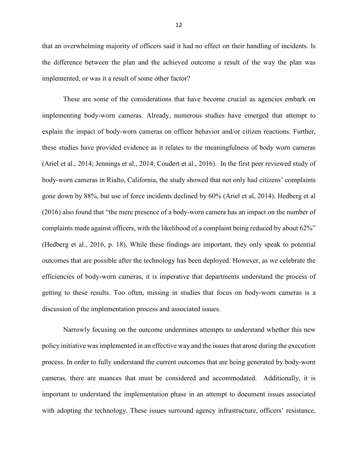that an overwhelming majority of officers said it had no effect on their handling of incidents. Is the difference between the plan and the achieved outcome a result of the way the plan was implemented, or was it a result of some other factor?

These are some of the considerations that have become crucial as agencies embark on implementing body-worn cameras. Already, numerous studies have emerged that attempt to explain the impact of body-worn cameras on officer behavior and/or citizen reactions. Further, these studies have provided evidence as it relates to the meaningfulness of body worn cameras (Ariel et al., 2014; Jennings et al., 2014; Coudert et al., 2016). In the first peer reviewed study of body-worn cameras in Rialto, California, the study showed that not only had citizens' complaints gone down by 88%, but use of force incidents declined by 60% (Ariel et al, 2014). Hedberg et al (2016) also found that "the mere presence of a body-worn camera has an impact on the number of complaints made against officers, with the likelihood of a complaint being reduced by about 62%" (Hedberg et al., 2016, p. 18). While these findings are important, they only speak to potential outcomes that are possible after the technology has been deployed. However, as we celebrate the efficiencies of body-worn cameras, it is imperative that departments understand the process of getting to these results. Too often, missing in studies that focus on body-worn cameras is a discussion of the implementation process and associated issues.

Narrowly focusing on the outcome undermines attempts to understand whether this new policy initiative was implemented in an effective way and the issues that arose during the execution process. In order to fully understand the current outcomes that are being generated by body-worn cameras, there are nuances that must be considered and accommodated. Additionally, it is important to understand the implementation phase in an attempt to document issues associated with adopting the technology. These issues surround agency infrastructure, officers' resistance,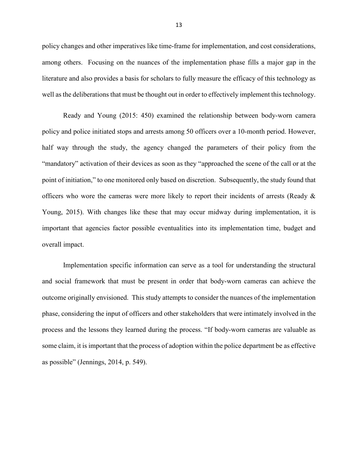policy changes and other imperatives like time-frame for implementation, and cost considerations, among others. Focusing on the nuances of the implementation phase fills a major gap in the literature and also provides a basis for scholars to fully measure the efficacy of this technology as well as the deliberations that must be thought out in order to effectively implement this technology.

Ready and Young (2015: 450) examined the relationship between body-worn camera policy and police initiated stops and arrests among 50 officers over a 10-month period. However, half way through the study, the agency changed the parameters of their policy from the "mandatory" activation of their devices as soon as they "approached the scene of the call or at the point of initiation," to one monitored only based on discretion. Subsequently, the study found that officers who wore the cameras were more likely to report their incidents of arrests (Ready & Young, 2015). With changes like these that may occur midway during implementation, it is important that agencies factor possible eventualities into its implementation time, budget and overall impact.

Implementation specific information can serve as a tool for understanding the structural and social framework that must be present in order that body-worn cameras can achieve the outcome originally envisioned. This study attempts to consider the nuances of the implementation phase, considering the input of officers and other stakeholders that were intimately involved in the process and the lessons they learned during the process. "If body-worn cameras are valuable as some claim, it is important that the process of adoption within the police department be as effective as possible" (Jennings, 2014, p. 549).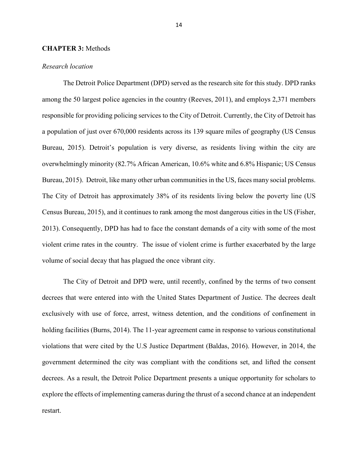#### **CHAPTER 3:** Methods

#### *Research location*

The Detroit Police Department (DPD) served as the research site for this study. DPD ranks among the 50 largest police agencies in the country (Reeves, 2011), and employs 2,371 members responsible for providing policing services to the City of Detroit. Currently, the City of Detroit has a population of just over 670,000 residents across its 139 square miles of geography (US Census Bureau, 2015). Detroit's population is very diverse, as residents living within the city are overwhelmingly minority (82.7% African American, 10.6% white and 6.8% Hispanic; US Census Bureau, 2015). Detroit, like many other urban communities in the US, faces many social problems. The City of Detroit has approximately 38% of its residents living below the poverty line (US Census Bureau, 2015), and it continues to rank among the most dangerous cities in the US (Fisher, 2013). Consequently, DPD has had to face the constant demands of a city with some of the most violent crime rates in the country. The issue of violent crime is further exacerbated by the large volume of social decay that has plagued the once vibrant city.

The City of Detroit and DPD were, until recently, confined by the terms of two consent decrees that were entered into with the United States Department of Justice. The decrees dealt exclusively with use of force, arrest, witness detention, and the conditions of confinement in holding facilities (Burns, 2014). The 11-year agreement came in response to various constitutional violations that were cited by the U.S Justice Department (Baldas, 2016). However, in 2014, the government determined the city was compliant with the conditions set, and lifted the consent decrees. As a result, the Detroit Police Department presents a unique opportunity for scholars to explore the effects of implementing cameras during the thrust of a second chance at an independent restart.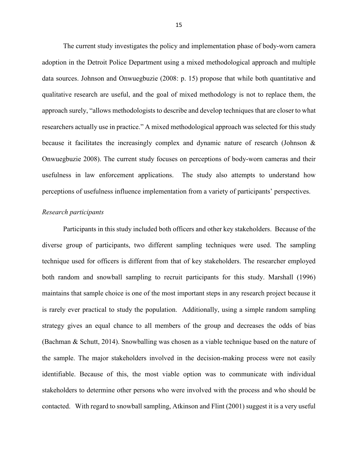The current study investigates the policy and implementation phase of body-worn camera adoption in the Detroit Police Department using a mixed methodological approach and multiple data sources. Johnson and Onwuegbuzie (2008: p. 15) propose that while both quantitative and qualitative research are useful, and the goal of mixed methodology is not to replace them, the approach surely, "allows methodologists to describe and develop techniques that are closer to what researchers actually use in practice." A mixed methodological approach was selected for this study because it facilitates the increasingly complex and dynamic nature of research (Johnson & Onwuegbuzie 2008). The current study focuses on perceptions of body-worn cameras and their usefulness in law enforcement applications. The study also attempts to understand how perceptions of usefulness influence implementation from a variety of participants' perspectives.

#### *Research participants*

Participants in this study included both officers and other key stakeholders. Because of the diverse group of participants, two different sampling techniques were used. The sampling technique used for officers is different from that of key stakeholders. The researcher employed both random and snowball sampling to recruit participants for this study. Marshall (1996) maintains that sample choice is one of the most important steps in any research project because it is rarely ever practical to study the population. Additionally, using a simple random sampling strategy gives an equal chance to all members of the group and decreases the odds of bias (Bachman & Schutt, 2014). Snowballing was chosen as a viable technique based on the nature of the sample. The major stakeholders involved in the decision-making process were not easily identifiable. Because of this, the most viable option was to communicate with individual stakeholders to determine other persons who were involved with the process and who should be contacted. With regard to snowball sampling, Atkinson and Flint (2001) suggest it is a very useful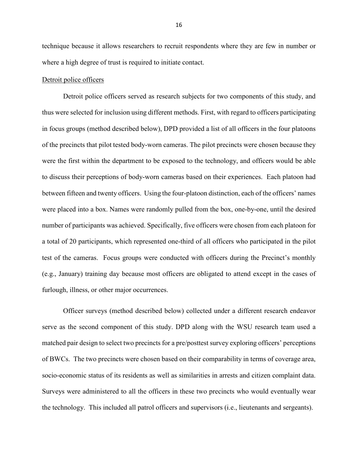technique because it allows researchers to recruit respondents where they are few in number or where a high degree of trust is required to initiate contact.

#### Detroit police officers

Detroit police officers served as research subjects for two components of this study, and thus were selected for inclusion using different methods. First, with regard to officers participating in focus groups (method described below), DPD provided a list of all officers in the four platoons of the precincts that pilot tested body-worn cameras. The pilot precincts were chosen because they were the first within the department to be exposed to the technology, and officers would be able to discuss their perceptions of body-worn cameras based on their experiences. Each platoon had between fifteen and twenty officers. Using the four-platoon distinction, each of the officers' names were placed into a box. Names were randomly pulled from the box, one-by-one, until the desired number of participants was achieved. Specifically, five officers were chosen from each platoon for a total of 20 participants, which represented one-third of all officers who participated in the pilot test of the cameras. Focus groups were conducted with officers during the Precinct's monthly (e.g., January) training day because most officers are obligated to attend except in the cases of furlough, illness, or other major occurrences.

Officer surveys (method described below) collected under a different research endeavor serve as the second component of this study. DPD along with the WSU research team used a matched pair design to select two precincts for a pre/posttest survey exploring officers' perceptions of BWCs. The two precincts were chosen based on their comparability in terms of coverage area, socio-economic status of its residents as well as similarities in arrests and citizen complaint data. Surveys were administered to all the officers in these two precincts who would eventually wear the technology. This included all patrol officers and supervisors (i.e., lieutenants and sergeants).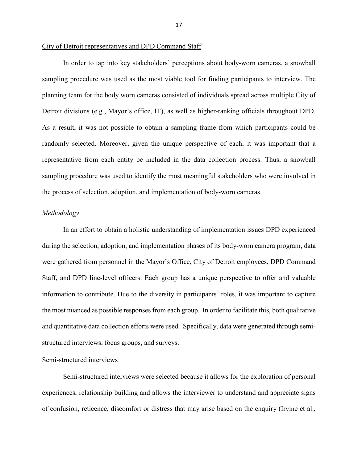#### City of Detroit representatives and DPD Command Staff

In order to tap into key stakeholders' perceptions about body-worn cameras, a snowball sampling procedure was used as the most viable tool for finding participants to interview. The planning team for the body worn cameras consisted of individuals spread across multiple City of Detroit divisions (e.g., Mayor's office, IT), as well as higher-ranking officials throughout DPD. As a result, it was not possible to obtain a sampling frame from which participants could be randomly selected. Moreover, given the unique perspective of each, it was important that a representative from each entity be included in the data collection process. Thus, a snowball sampling procedure was used to identify the most meaningful stakeholders who were involved in the process of selection, adoption, and implementation of body-worn cameras.

#### *Methodology*

In an effort to obtain a holistic understanding of implementation issues DPD experienced during the selection, adoption, and implementation phases of its body-worn camera program, data were gathered from personnel in the Mayor's Office, City of Detroit employees, DPD Command Staff, and DPD line-level officers. Each group has a unique perspective to offer and valuable information to contribute. Due to the diversity in participants' roles, it was important to capture the most nuanced as possible responses from each group. In order to facilitate this, both qualitative and quantitative data collection efforts were used. Specifically, data were generated through semistructured interviews, focus groups, and surveys.

#### Semi-structured interviews

Semi-structured interviews were selected because it allows for the exploration of personal experiences, relationship building and allows the interviewer to understand and appreciate signs of confusion, reticence, discomfort or distress that may arise based on the enquiry (Irvine et al.,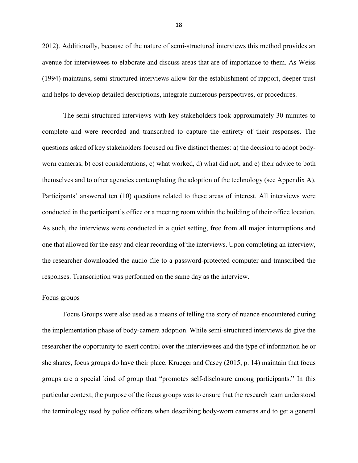2012). Additionally, because of the nature of semi-structured interviews this method provides an avenue for interviewees to elaborate and discuss areas that are of importance to them. As Weiss (1994) maintains, semi-structured interviews allow for the establishment of rapport, deeper trust and helps to develop detailed descriptions, integrate numerous perspectives, or procedures.

The semi-structured interviews with key stakeholders took approximately 30 minutes to complete and were recorded and transcribed to capture the entirety of their responses. The questions asked of key stakeholders focused on five distinct themes: a) the decision to adopt bodyworn cameras, b) cost considerations, c) what worked, d) what did not, and e) their advice to both themselves and to other agencies contemplating the adoption of the technology (see Appendix A). Participants' answered ten (10) questions related to these areas of interest. All interviews were conducted in the participant's office or a meeting room within the building of their office location. As such, the interviews were conducted in a quiet setting, free from all major interruptions and one that allowed for the easy and clear recording of the interviews. Upon completing an interview, the researcher downloaded the audio file to a password-protected computer and transcribed the responses. Transcription was performed on the same day as the interview.

#### Focus groups

Focus Groups were also used as a means of telling the story of nuance encountered during the implementation phase of body-camera adoption. While semi-structured interviews do give the researcher the opportunity to exert control over the interviewees and the type of information he or she shares, focus groups do have their place. Krueger and Casey (2015, p. 14) maintain that focus groups are a special kind of group that "promotes self-disclosure among participants." In this particular context, the purpose of the focus groups was to ensure that the research team understood the terminology used by police officers when describing body-worn cameras and to get a general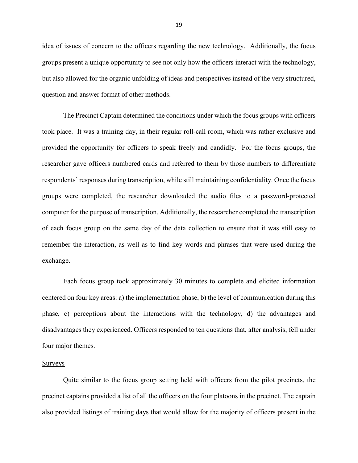idea of issues of concern to the officers regarding the new technology. Additionally, the focus groups present a unique opportunity to see not only how the officers interact with the technology, but also allowed for the organic unfolding of ideas and perspectives instead of the very structured, question and answer format of other methods.

The Precinct Captain determined the conditions under which the focus groups with officers took place. It was a training day, in their regular roll-call room, which was rather exclusive and provided the opportunity for officers to speak freely and candidly. For the focus groups, the researcher gave officers numbered cards and referred to them by those numbers to differentiate respondents' responses during transcription, while still maintaining confidentiality. Once the focus groups were completed, the researcher downloaded the audio files to a password-protected computer for the purpose of transcription. Additionally, the researcher completed the transcription of each focus group on the same day of the data collection to ensure that it was still easy to remember the interaction, as well as to find key words and phrases that were used during the exchange.

Each focus group took approximately 30 minutes to complete and elicited information centered on four key areas: a) the implementation phase, b) the level of communication during this phase, c) perceptions about the interactions with the technology, d) the advantages and disadvantages they experienced. Officers responded to ten questions that, after analysis, fell under four major themes.

#### **Surveys**

Quite similar to the focus group setting held with officers from the pilot precincts, the precinct captains provided a list of all the officers on the four platoons in the precinct. The captain also provided listings of training days that would allow for the majority of officers present in the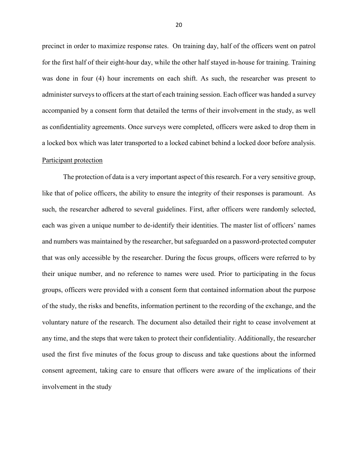precinct in order to maximize response rates. On training day, half of the officers went on patrol for the first half of their eight-hour day, while the other half stayed in-house for training. Training was done in four (4) hour increments on each shift. As such, the researcher was present to administer surveys to officers at the start of each training session. Each officer was handed a survey accompanied by a consent form that detailed the terms of their involvement in the study, as well as confidentiality agreements. Once surveys were completed, officers were asked to drop them in a locked box which was later transported to a locked cabinet behind a locked door before analysis. Participant protection

The protection of data is a very important aspect of this research. For a very sensitive group, like that of police officers, the ability to ensure the integrity of their responses is paramount. As such, the researcher adhered to several guidelines. First, after officers were randomly selected, each was given a unique number to de-identify their identities. The master list of officers' names and numbers was maintained by the researcher, but safeguarded on a password-protected computer that was only accessible by the researcher. During the focus groups, officers were referred to by their unique number, and no reference to names were used. Prior to participating in the focus groups, officers were provided with a consent form that contained information about the purpose of the study, the risks and benefits, information pertinent to the recording of the exchange, and the voluntary nature of the research. The document also detailed their right to cease involvement at any time, and the steps that were taken to protect their confidentiality. Additionally, the researcher used the first five minutes of the focus group to discuss and take questions about the informed consent agreement, taking care to ensure that officers were aware of the implications of their involvement in the study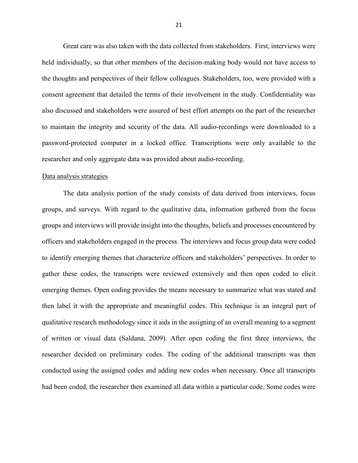Great care was also taken with the data collected from stakeholders. First, interviews were held individually, so that other members of the decision-making body would not have access to the thoughts and perspectives of their fellow colleagues. Stakeholders, too, were provided with a consent agreement that detailed the terms of their involvement in the study. Confidentiality was also discussed and stakeholders were assured of best effort attempts on the part of the researcher to maintain the integrity and security of the data. All audio-recordings were downloaded to a password-protected computer in a locked office. Transcriptions were only available to the researcher and only aggregate data was provided about audio-recording.

#### Data analysis strategies

The data analysis portion of the study consists of data derived from interviews, focus groups, and surveys. With regard to the qualitative data, information gathered from the focus groups and interviews will provide insight into the thoughts, beliefs and processes encountered by officers and stakeholders engaged in the process. The interviews and focus group data were coded to identify emerging themes that characterize officers and stakeholders' perspectives. In order to gather these codes, the transcripts were reviewed extensively and then open coded to elicit emerging themes. Open coding provides the means necessary to summarize what was stated and then label it with the appropriate and meaningful codes. This technique is an integral part of qualitative research methodology since it aids in the assigning of an overall meaning to a segment of written or visual data (Saldana, 2009). After open coding the first three interviews, the researcher decided on preliminary codes. The coding of the additional transcripts was then conducted using the assigned codes and adding new codes when necessary. Once all transcripts had been coded, the researcher then examined all data within a particular code. Some codes were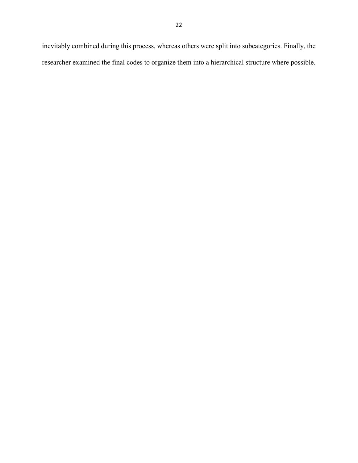inevitably combined during this process, whereas others were split into subcategories. Finally, the researcher examined the final codes to organize them into a hierarchical structure where possible.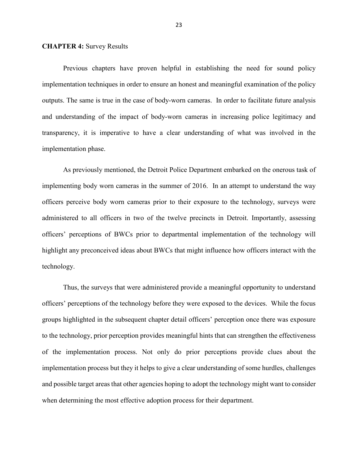#### **CHAPTER 4:** Survey Results

 Previous chapters have proven helpful in establishing the need for sound policy implementation techniques in order to ensure an honest and meaningful examination of the policy outputs. The same is true in the case of body-worn cameras. In order to facilitate future analysis and understanding of the impact of body-worn cameras in increasing police legitimacy and transparency, it is imperative to have a clear understanding of what was involved in the implementation phase.

As previously mentioned, the Detroit Police Department embarked on the onerous task of implementing body worn cameras in the summer of 2016. In an attempt to understand the way officers perceive body worn cameras prior to their exposure to the technology, surveys were administered to all officers in two of the twelve precincts in Detroit. Importantly, assessing officers' perceptions of BWCs prior to departmental implementation of the technology will highlight any preconceived ideas about BWCs that might influence how officers interact with the technology.

Thus, the surveys that were administered provide a meaningful opportunity to understand officers' perceptions of the technology before they were exposed to the devices. While the focus groups highlighted in the subsequent chapter detail officers' perception once there was exposure to the technology, prior perception provides meaningful hints that can strengthen the effectiveness of the implementation process. Not only do prior perceptions provide clues about the implementation process but they it helps to give a clear understanding of some hurdles, challenges and possible target areas that other agencies hoping to adopt the technology might want to consider when determining the most effective adoption process for their department.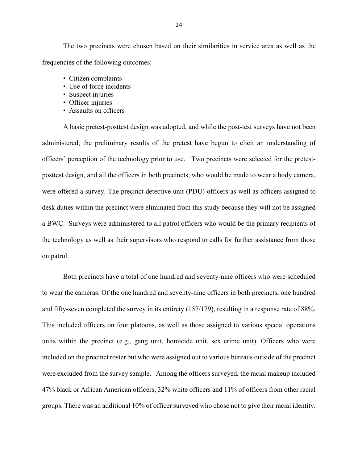The two precincts were chosen based on their similarities in service area as well as the frequencies of the following outcomes:

- Citizen complaints
- Use of force incidents
- Suspect injuries
- Officer injuries
- Assaults on officers

A basic pretest-posttest design was adopted, and while the post-test surveys have not been administered, the preliminary results of the pretest have begun to elicit an understanding of officers' perception of the technology prior to use. Two precincts were selected for the pretestposttest design, and all the officers in both precincts, who would be made to wear a body camera, were offered a survey. The precinct detective unit (PDU) officers as well as officers assigned to desk duties within the precinct were eliminated from this study because they will not be assigned a BWC. Surveys were administered to all patrol officers who would be the primary recipients of the technology as well as their supervisors who respond to calls for further assistance from those on patrol.

Both precincts have a total of one hundred and seventy-nine officers who were scheduled to wear the cameras. Of the one hundred and seventy-nine officers in both precincts, one hundred and fifty-seven completed the survey in its entirety (157/179), resulting in a response rate of 88%. This included officers on four platoons, as well as those assigned to various special operations units within the precinct (e.g., gang unit, homicide unit, sex crime unit). Officers who were included on the precinct roster but who were assigned out to various bureaus outside of the precinct were excluded from the survey sample. Among the officers surveyed, the racial makeup included 47% black or African American officers, 32% white officers and 11% of officers from other racial groups. There was an additional 10% of officer surveyed who chose not to give their racial identity.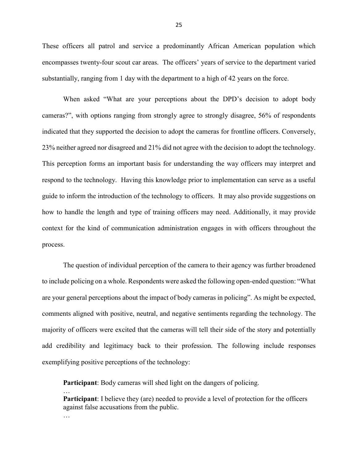These officers all patrol and service a predominantly African American population which encompasses twenty-four scout car areas. The officers' years of service to the department varied substantially, ranging from 1 day with the department to a high of 42 years on the force.

When asked "What are your perceptions about the DPD's decision to adopt body cameras?", with options ranging from strongly agree to strongly disagree, 56% of respondents indicated that they supported the decision to adopt the cameras for frontline officers. Conversely, 23% neither agreed nor disagreed and 21% did not agree with the decision to adopt the technology. This perception forms an important basis for understanding the way officers may interpret and respond to the technology. Having this knowledge prior to implementation can serve as a useful guide to inform the introduction of the technology to officers. It may also provide suggestions on how to handle the length and type of training officers may need. Additionally, it may provide context for the kind of communication administration engages in with officers throughout the process.

The question of individual perception of the camera to their agency was further broadened to include policing on a whole. Respondents were asked the following open-ended question: "What are your general perceptions about the impact of body cameras in policing". As might be expected, comments aligned with positive, neutral, and negative sentiments regarding the technology. The majority of officers were excited that the cameras will tell their side of the story and potentially add credibility and legitimacy back to their profession. The following include responses exemplifying positive perceptions of the technology:

**Participant**: Body cameras will shed light on the dangers of policing.

…

**Participant**: I believe they (are) needed to provide a level of protection for the officers against false accusations from the public. …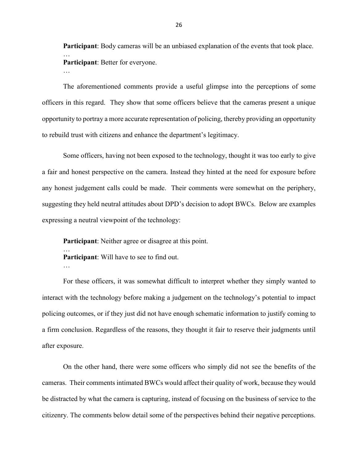**Participant**: Body cameras will be an unbiased explanation of the events that took place. … **Participant**: Better for everyone.

The aforementioned comments provide a useful glimpse into the perceptions of some officers in this regard. They show that some officers believe that the cameras present a unique opportunity to portray a more accurate representation of policing, thereby providing an opportunity to rebuild trust with citizens and enhance the department's legitimacy.

Some officers, having not been exposed to the technology, thought it was too early to give a fair and honest perspective on the camera. Instead they hinted at the need for exposure before any honest judgement calls could be made. Their comments were somewhat on the periphery, suggesting they held neutral attitudes about DPD's decision to adopt BWCs. Below are examples expressing a neutral viewpoint of the technology:

**Participant**: Neither agree or disagree at this point.

**Participant**: Will have to see to find out.

…

…

For these officers, it was somewhat difficult to interpret whether they simply wanted to interact with the technology before making a judgement on the technology's potential to impact policing outcomes, or if they just did not have enough schematic information to justify coming to a firm conclusion. Regardless of the reasons, they thought it fair to reserve their judgments until after exposure.

On the other hand, there were some officers who simply did not see the benefits of the cameras. Their comments intimated BWCs would affect their quality of work, because they would be distracted by what the camera is capturing, instead of focusing on the business of service to the citizenry. The comments below detail some of the perspectives behind their negative perceptions.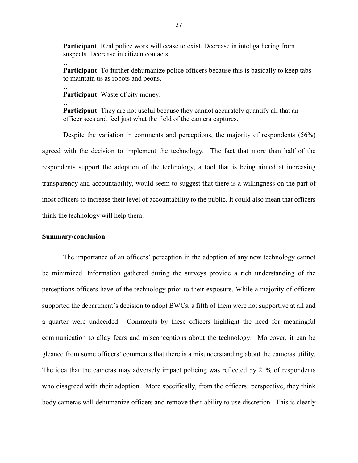**Participant**: Real police work will cease to exist. Decrease in intel gathering from suspects. Decrease in citizen contacts.

**Participant**: To further dehumanize police officers because this is basically to keep tabs to maintain us as robots and peons.

**Participant**: Waste of city money.

**Participant**: They are not useful because they cannot accurately quantify all that an officer sees and feel just what the field of the camera captures.

Despite the variation in comments and perceptions, the majority of respondents (56%) agreed with the decision to implement the technology. The fact that more than half of the respondents support the adoption of the technology, a tool that is being aimed at increasing transparency and accountability, would seem to suggest that there is a willingness on the part of most officers to increase their level of accountability to the public. It could also mean that officers think the technology will help them.

#### **Summary/conclusion**

…

…

…

The importance of an officers' perception in the adoption of any new technology cannot be minimized. Information gathered during the surveys provide a rich understanding of the perceptions officers have of the technology prior to their exposure. While a majority of officers supported the department's decision to adopt BWCs, a fifth of them were not supportive at all and a quarter were undecided. Comments by these officers highlight the need for meaningful communication to allay fears and misconceptions about the technology. Moreover, it can be gleaned from some officers' comments that there is a misunderstanding about the cameras utility. The idea that the cameras may adversely impact policing was reflected by 21% of respondents who disagreed with their adoption. More specifically, from the officers' perspective, they think body cameras will dehumanize officers and remove their ability to use discretion. This is clearly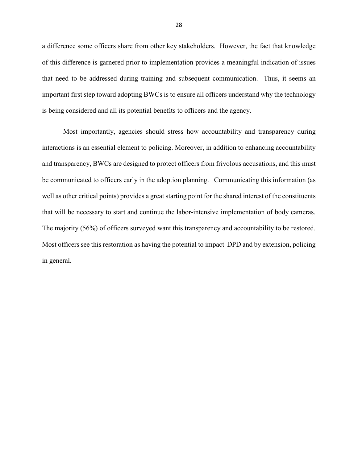a difference some officers share from other key stakeholders. However, the fact that knowledge of this difference is garnered prior to implementation provides a meaningful indication of issues that need to be addressed during training and subsequent communication. Thus, it seems an important first step toward adopting BWCs is to ensure all officers understand why the technology is being considered and all its potential benefits to officers and the agency.

Most importantly, agencies should stress how accountability and transparency during interactions is an essential element to policing. Moreover, in addition to enhancing accountability and transparency, BWCs are designed to protect officers from frivolous accusations, and this must be communicated to officers early in the adoption planning. Communicating this information (as well as other critical points) provides a great starting point for the shared interest of the constituents that will be necessary to start and continue the labor-intensive implementation of body cameras. The majority (56%) of officers surveyed want this transparency and accountability to be restored. Most officers see this restoration as having the potential to impact DPD and by extension, policing in general.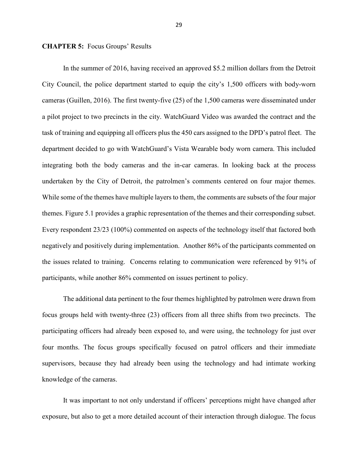#### **CHAPTER 5:** Focus Groups' Results

In the summer of 2016, having received an approved \$5.2 million dollars from the Detroit City Council, the police department started to equip the city's 1,500 officers with body-worn cameras (Guillen, 2016). The first twenty-five (25) of the 1,500 cameras were disseminated under a pilot project to two precincts in the city. WatchGuard Video was awarded the contract and the task of training and equipping all officers plus the 450 cars assigned to the DPD's patrol fleet. The department decided to go with WatchGuard's Vista Wearable body worn camera. This included integrating both the body cameras and the in-car cameras. In looking back at the process undertaken by the City of Detroit, the patrolmen's comments centered on four major themes. While some of the themes have multiple layers to them, the comments are subsets of the four major themes. Figure 5.1 provides a graphic representation of the themes and their corresponding subset. Every respondent 23/23 (100%) commented on aspects of the technology itself that factored both negatively and positively during implementation. Another 86% of the participants commented on the issues related to training. Concerns relating to communication were referenced by 91% of participants, while another 86% commented on issues pertinent to policy.

The additional data pertinent to the four themes highlighted by patrolmen were drawn from focus groups held with twenty-three (23) officers from all three shifts from two precincts. The participating officers had already been exposed to, and were using, the technology for just over four months. The focus groups specifically focused on patrol officers and their immediate supervisors, because they had already been using the technology and had intimate working knowledge of the cameras.

It was important to not only understand if officers' perceptions might have changed after exposure, but also to get a more detailed account of their interaction through dialogue. The focus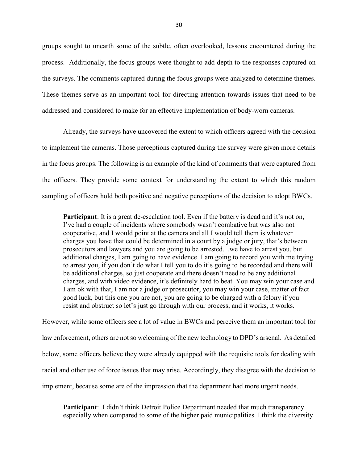groups sought to unearth some of the subtle, often overlooked, lessons encountered during the process. Additionally, the focus groups were thought to add depth to the responses captured on the surveys. The comments captured during the focus groups were analyzed to determine themes. These themes serve as an important tool for directing attention towards issues that need to be addressed and considered to make for an effective implementation of body-worn cameras.

Already, the surveys have uncovered the extent to which officers agreed with the decision to implement the cameras. Those perceptions captured during the survey were given more details in the focus groups. The following is an example of the kind of comments that were captured from the officers. They provide some context for understanding the extent to which this random sampling of officers hold both positive and negative perceptions of the decision to adopt BWCs.

**Participant**: It is a great de-escalation tool. Even if the battery is dead and it's not on, I've had a couple of incidents where somebody wasn't combative but was also not cooperative, and I would point at the camera and all I would tell them is whatever charges you have that could be determined in a court by a judge or jury, that's between prosecutors and lawyers and you are going to be arrested…we have to arrest you, but additional charges, I am going to have evidence. I am going to record you with me trying to arrest you, if you don't do what I tell you to do it's going to be recorded and there will be additional charges, so just cooperate and there doesn't need to be any additional charges, and with video evidence, it's definitely hard to beat. You may win your case and I am ok with that, I am not a judge or prosecutor, you may win your case, matter of fact good luck, but this one you are not, you are going to be charged with a felony if you resist and obstruct so let's just go through with our process, and it works, it works.

However, while some officers see a lot of value in BWCs and perceive them an important tool for law enforcement, others are not so welcoming of the new technology to DPD's arsenal. As detailed below, some officers believe they were already equipped with the requisite tools for dealing with racial and other use of force issues that may arise. Accordingly, they disagree with the decision to implement, because some are of the impression that the department had more urgent needs.

**Participant**: I didn't think Detroit Police Department needed that much transparency especially when compared to some of the higher paid municipalities. I think the diversity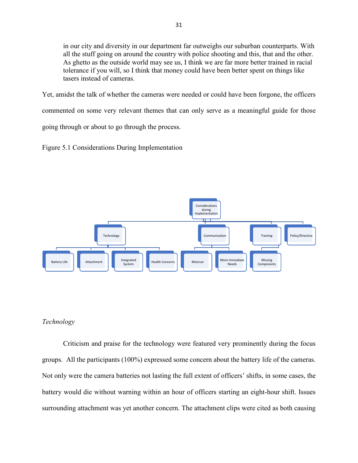in our city and diversity in our department far outweighs our suburban counterparts. With all the stuff going on around the country with police shooting and this, that and the other. As ghetto as the outside world may see us, I think we are far more better trained in racial tolerance if you will, so I think that money could have been better spent on things like tasers instead of cameras.

Yet, amidst the talk of whether the cameras were needed or could have been forgone, the officers commented on some very relevant themes that can only serve as a meaningful guide for those going through or about to go through the process.

Figure 5.1 Considerations During Implementation



# *Technology*

Criticism and praise for the technology were featured very prominently during the focus groups. All the participants (100%) expressed some concern about the battery life of the cameras. Not only were the camera batteries not lasting the full extent of officers' shifts, in some cases, the battery would die without warning within an hour of officers starting an eight-hour shift. Issues surrounding attachment was yet another concern. The attachment clips were cited as both causing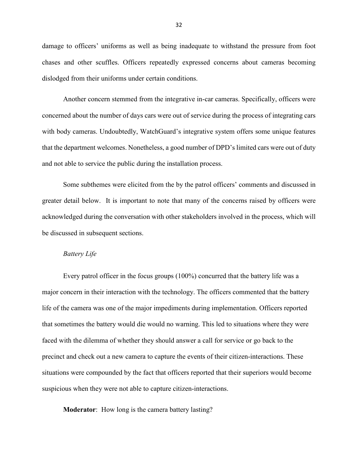damage to officers' uniforms as well as being inadequate to withstand the pressure from foot chases and other scuffles. Officers repeatedly expressed concerns about cameras becoming dislodged from their uniforms under certain conditions.

Another concern stemmed from the integrative in-car cameras. Specifically, officers were concerned about the number of days cars were out of service during the process of integrating cars with body cameras. Undoubtedly, WatchGuard's integrative system offers some unique features that the department welcomes. Nonetheless, a good number of DPD's limited cars were out of duty and not able to service the public during the installation process.

Some subthemes were elicited from the by the patrol officers' comments and discussed in greater detail below. It is important to note that many of the concerns raised by officers were acknowledged during the conversation with other stakeholders involved in the process, which will be discussed in subsequent sections.

#### *Battery Life*

Every patrol officer in the focus groups (100%) concurred that the battery life was a major concern in their interaction with the technology. The officers commented that the battery life of the camera was one of the major impediments during implementation. Officers reported that sometimes the battery would die would no warning. This led to situations where they were faced with the dilemma of whether they should answer a call for service or go back to the precinct and check out a new camera to capture the events of their citizen-interactions. These situations were compounded by the fact that officers reported that their superiors would become suspicious when they were not able to capture citizen-interactions.

**Moderator**: How long is the camera battery lasting?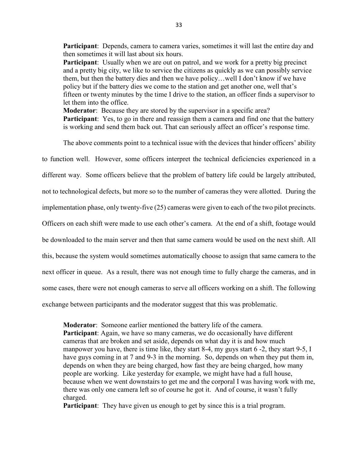**Participant**: Depends, camera to camera varies, sometimes it will last the entire day and then sometimes it will last about six hours.

**Participant**: Usually when we are out on patrol, and we work for a pretty big precinct and a pretty big city, we like to service the citizens as quickly as we can possibly service them, but then the battery dies and then we have policy…well I don't know if we have policy but if the battery dies we come to the station and get another one, well that's fifteen or twenty minutes by the time I drive to the station, an officer finds a supervisor to let them into the office.

**Moderator**: Because they are stored by the supervisor in a specific area? **Participant**: Yes, to go in there and reassign them a camera and find one that the battery is working and send them back out. That can seriously affect an officer's response time.

The above comments point to a technical issue with the devices that hinder officers' ability

to function well. However, some officers interpret the technical deficiencies experienced in a different way. Some officers believe that the problem of battery life could be largely attributed, not to technological defects, but more so to the number of cameras they were allotted. During the implementation phase, only twenty-five (25) cameras were given to each of the two pilot precincts. Officers on each shift were made to use each other's camera. At the end of a shift, footage would be downloaded to the main server and then that same camera would be used on the next shift. All this, because the system would sometimes automatically choose to assign that same camera to the next officer in queue. As a result, there was not enough time to fully charge the cameras, and in some cases, there were not enough cameras to serve all officers working on a shift. The following exchange between participants and the moderator suggest that this was problematic.

**Moderator**: Someone earlier mentioned the battery life of the camera. **Participant**: Again, we have so many cameras, we do occasionally have different cameras that are broken and set aside, depends on what day it is and how much manpower you have, there is time like, they start 8-4, my guys start 6 -2, they start 9-5, I have guys coming in at 7 and 9-3 in the morning. So, depends on when they put them in, depends on when they are being charged, how fast they are being charged, how many people are working. Like yesterday for example, we might have had a full house, because when we went downstairs to get me and the corporal I was having work with me, there was only one camera left so of course he got it. And of course, it wasn't fully charged.

**Participant**: They have given us enough to get by since this is a trial program.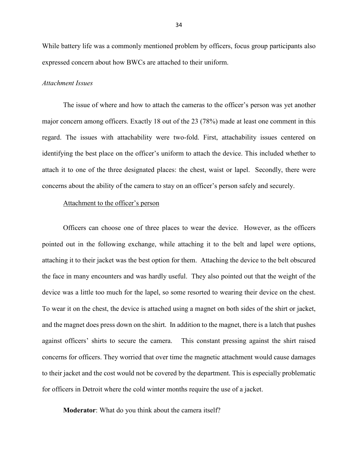While battery life was a commonly mentioned problem by officers, focus group participants also expressed concern about how BWCs are attached to their uniform.

#### *Attachment Issues*

The issue of where and how to attach the cameras to the officer's person was yet another major concern among officers. Exactly 18 out of the 23 (78%) made at least one comment in this regard. The issues with attachability were two-fold. First, attachability issues centered on identifying the best place on the officer's uniform to attach the device. This included whether to attach it to one of the three designated places: the chest, waist or lapel. Secondly, there were concerns about the ability of the camera to stay on an officer's person safely and securely.

## Attachment to the officer's person

Officers can choose one of three places to wear the device. However, as the officers pointed out in the following exchange, while attaching it to the belt and lapel were options, attaching it to their jacket was the best option for them. Attaching the device to the belt obscured the face in many encounters and was hardly useful. They also pointed out that the weight of the device was a little too much for the lapel, so some resorted to wearing their device on the chest. To wear it on the chest, the device is attached using a magnet on both sides of the shirt or jacket, and the magnet does press down on the shirt. In addition to the magnet, there is a latch that pushes against officers' shirts to secure the camera. This constant pressing against the shirt raised concerns for officers. They worried that over time the magnetic attachment would cause damages to their jacket and the cost would not be covered by the department. This is especially problematic for officers in Detroit where the cold winter months require the use of a jacket.

**Moderator**: What do you think about the camera itself?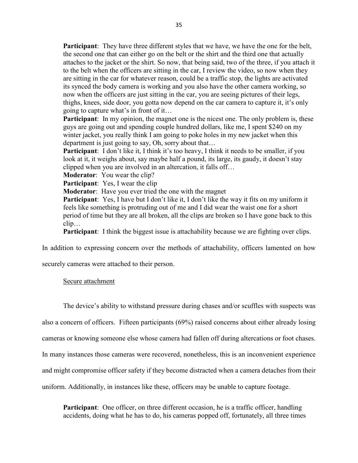**Participant**: They have three different styles that we have, we have the one for the belt, the second one that can either go on the belt or the shirt and the third one that actually attaches to the jacket or the shirt. So now, that being said, two of the three, if you attach it to the belt when the officers are sitting in the car, I review the video, so now when they are sitting in the car for whatever reason, could be a traffic stop, the lights are activated its synced the body camera is working and you also have the other camera working, so now when the officers are just sitting in the car, you are seeing pictures of their legs, thighs, knees, side door, you gotta now depend on the car camera to capture it, it's only going to capture what's in front of it…

**Participant**: In my opinion, the magnet one is the nicest one. The only problem is, these guys are going out and spending couple hundred dollars, like me, I spent \$240 on my winter jacket, you really think I am going to poke holes in my new jacket when this department is just going to say, Oh, sorry about that…

**Participant**: I don't like it, I think it's too heavy, I think it needs to be smaller, if you look at it, it weighs about, say maybe half a pound, its large, its gaudy, it doesn't stay clipped when you are involved in an altercation, it falls off…

**Moderator**: You wear the clip?

**Participant**: Yes, I wear the clip

**Moderator**: Have you ever tried the one with the magnet

**Participant**: Yes, I have but I don't like it, I don't like the way it fits on my uniform it feels like something is protruding out of me and I did wear the waist one for a short period of time but they are all broken, all the clips are broken so I have gone back to this clip…

**Participant**: I think the biggest issue is attachability because we are fighting over clips.

In addition to expressing concern over the methods of attachability, officers lamented on how

securely cameras were attached to their person.

### Secure attachment

The device's ability to withstand pressure during chases and/or scuffles with suspects was

also a concern of officers. Fifteen participants (69%) raised concerns about either already losing

cameras or knowing someone else whose camera had fallen off during altercations or foot chases.

In many instances those cameras were recovered, nonetheless, this is an inconvenient experience

and might compromise officer safety if they become distracted when a camera detaches from their

uniform. Additionally, in instances like these, officers may be unable to capture footage.

**Participant**: One officer, on three different occasion, he is a traffic officer, handling accidents, doing what he has to do, his cameras popped off, fortunately, all three times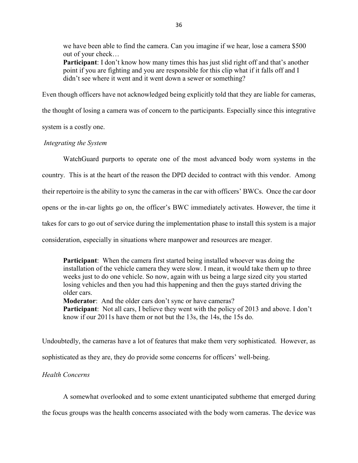we have been able to find the camera. Can you imagine if we hear, lose a camera \$500 out of your check…

**Participant**: I don't know how many times this has just slid right off and that's another point if you are fighting and you are responsible for this clip what if it falls off and I didn't see where it went and it went down a sewer or something?

Even though officers have not acknowledged being explicitly told that they are liable for cameras,

the thought of losing a camera was of concern to the participants. Especially since this integrative

system is a costly one.

# *Integrating the System*

WatchGuard purports to operate one of the most advanced body worn systems in the country. This is at the heart of the reason the DPD decided to contract with this vendor. Among their repertoire is the ability to sync the cameras in the car with officers' BWCs. Once the car door opens or the in-car lights go on, the officer's BWC immediately activates. However, the time it takes for cars to go out of service during the implementation phase to install this system is a major consideration, especially in situations where manpower and resources are meager.

**Participant**: When the camera first started being installed whoever was doing the installation of the vehicle camera they were slow. I mean, it would take them up to three weeks just to do one vehicle. So now, again with us being a large sized city you started losing vehicles and then you had this happening and then the guys started driving the older cars.

**Moderator**: And the older cars don't sync or have cameras?

**Participant**: Not all cars, I believe they went with the policy of 2013 and above. I don't know if our 2011s have them or not but the 13s, the 14s, the 15s do.

Undoubtedly, the cameras have a lot of features that make them very sophisticated. However, as

sophisticated as they are, they do provide some concerns for officers' well-being.

# *Health Concerns*

A somewhat overlooked and to some extent unanticipated subtheme that emerged during

the focus groups was the health concerns associated with the body worn cameras. The device was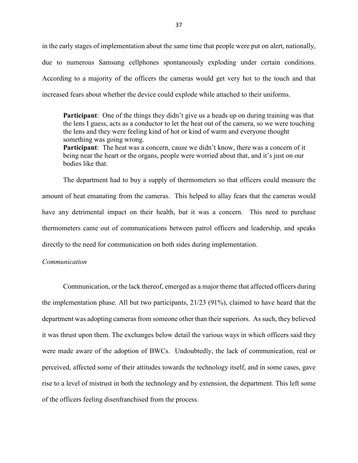in the early stages of implementation about the same time that people were put on alert, nationally, due to numerous Samsung cellphones spontaneously exploding under certain conditions. According to a majority of the officers the cameras would get very hot to the touch and that increased fears about whether the device could explode while attached to their uniforms.

**Participant**: One of the things they didn't give us a heads up on during training was that the lens I guess, acts as a conductor to let the heat out of the camera, so we were touching the lens and they were feeling kind of hot or kind of warm and everyone thought something was going wrong.

**Participant**: The heat was a concern, cause we didn't know, there was a concern of it being near the heart or the organs, people were worried about that, and it's just on our bodies like that.

The department had to buy a supply of thermometers so that officers could measure the amount of heat emanating from the cameras. This helped to allay fears that the cameras would have any detrimental impact on their health, but it was a concern. This need to purchase thermometers came out of communications between patrol officers and leadership, and speaks directly to the need for communication on both sides during implementation.

## *Communication*

Communication, or the lack thereof, emerged as a major theme that affected officers during the implementation phase. All but two participants, 21/23 (91%), claimed to have heard that the department was adopting cameras from someone other than their superiors. As such, they believed it was thrust upon them. The exchanges below detail the various ways in which officers said they were made aware of the adoption of BWCs. Undoubtedly, the lack of communication, real or perceived, affected some of their attitudes towards the technology itself, and in some cases, gave rise to a level of mistrust in both the technology and by extension, the department. This left some of the officers feeling disenfranchised from the process.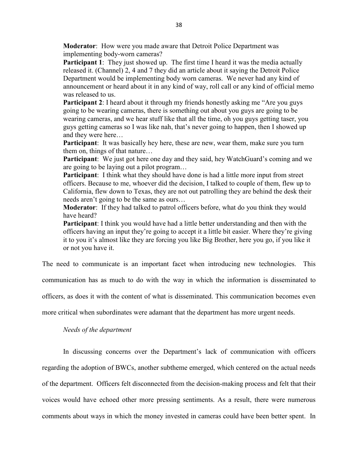**Moderator**: How were you made aware that Detroit Police Department was implementing body-worn cameras?

**Participant 1**: They just showed up. The first time I heard it was the media actually released it. (Channel) 2, 4 and 7 they did an article about it saying the Detroit Police Department would be implementing body worn cameras. We never had any kind of announcement or heard about it in any kind of way, roll call or any kind of official memo was released to us.

**Participant 2**: I heard about it through my friends honestly asking me "Are you guys" going to be wearing cameras, there is something out about you guys are going to be wearing cameras, and we hear stuff like that all the time, oh you guys getting taser, you guys getting cameras so I was like nah, that's never going to happen, then I showed up and they were here…

**Participant**: It was basically hey here, these are new, wear them, make sure you turn them on, things of that nature…

**Participant**: We just got here one day and they said, hey WatchGuard's coming and we are going to be laying out a pilot program…

**Participant**: I think what they should have done is had a little more input from street officers. Because to me, whoever did the decision, I talked to couple of them, flew up to California, flew down to Texas, they are not out patrolling they are behind the desk their needs aren't going to be the same as ours…

**Moderator**: If they had talked to patrol officers before, what do you think they would have heard?

**Participant**: I think you would have had a little better understanding and then with the officers having an input they're going to accept it a little bit easier. Where they're giving it to you it's almost like they are forcing you like Big Brother, here you go, if you like it or not you have it.

The need to communicate is an important facet when introducing new technologies. This

communication has as much to do with the way in which the information is disseminated to

officers, as does it with the content of what is disseminated. This communication becomes even

more critical when subordinates were adamant that the department has more urgent needs.

*Needs of the department* 

In discussing concerns over the Department's lack of communication with officers regarding the adoption of BWCs, another subtheme emerged, which centered on the actual needs of the department. Officers felt disconnected from the decision-making process and felt that their voices would have echoed other more pressing sentiments. As a result, there were numerous comments about ways in which the money invested in cameras could have been better spent. In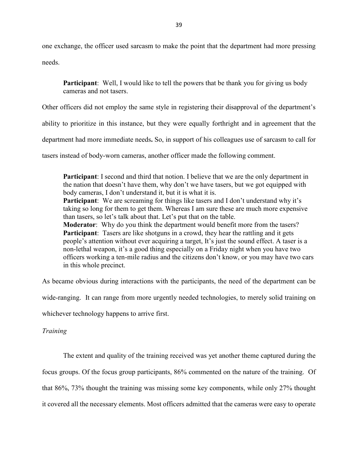one exchange, the officer used sarcasm to make the point that the department had more pressing

needs.

**Participant**: Well, I would like to tell the powers that be thank you for giving us body cameras and not tasers.

Other officers did not employ the same style in registering their disapproval of the department's

ability to prioritize in this instance, but they were equally forthright and in agreement that the

department had more immediate needs**.** So, in support of his colleagues use of sarcasm to call for

tasers instead of body-worn cameras, another officer made the following comment.

**Participant**: I second and third that notion. I believe that we are the only department in the nation that doesn't have them, why don't we have tasers, but we got equipped with body cameras, I don't understand it, but it is what it is. **Participant**: We are screaming for things like tasers and I don't understand why it's taking so long for them to get them. Whereas I am sure these are much more expensive than tasers, so let's talk about that. Let's put that on the table. **Moderator**: Why do you think the department would benefit more from the tasers? **Participant**: Tasers are like shotguns in a crowd, they hear the rattling and it gets people's attention without ever acquiring a target, It's just the sound effect. A taser is a non-lethal weapon, it's a good thing especially on a Friday night when you have two officers working a ten-mile radius and the citizens don't know, or you may have two cars in this whole precinct.

As became obvious during interactions with the participants, the need of the department can be

wide-ranging. It can range from more urgently needed technologies, to merely solid training on

whichever technology happens to arrive first.

*Training* 

The extent and quality of the training received was yet another theme captured during the focus groups. Of the focus group participants, 86% commented on the nature of the training. Of that 86%, 73% thought the training was missing some key components, while only 27% thought it covered all the necessary elements. Most officers admitted that the cameras were easy to operate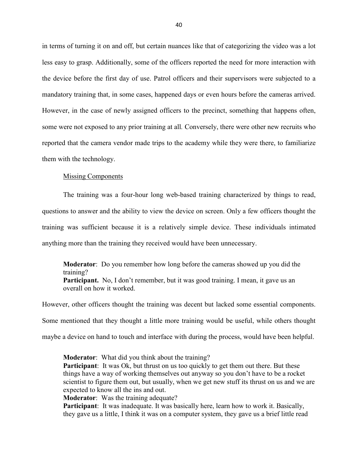in terms of turning it on and off, but certain nuances like that of categorizing the video was a lot less easy to grasp. Additionally, some of the officers reported the need for more interaction with the device before the first day of use. Patrol officers and their supervisors were subjected to a mandatory training that, in some cases, happened days or even hours before the cameras arrived. However, in the case of newly assigned officers to the precinct, something that happens often, some were not exposed to any prior training at all*.* Conversely, there were other new recruits who reported that the camera vendor made trips to the academy while they were there, to familiarize them with the technology.

### Missing Components

The training was a four-hour long web-based training characterized by things to read, questions to answer and the ability to view the device on screen. Only a few officers thought the training was sufficient because it is a relatively simple device. These individuals intimated anything more than the training they received would have been unnecessary.

**Moderator**: Do you remember how long before the cameras showed up you did the training? **Participant.** No, I don't remember, but it was good training. I mean, it gave us an overall on how it worked.

However, other officers thought the training was decent but lacked some essential components. Some mentioned that they thought a little more training would be useful, while others thought maybe a device on hand to touch and interface with during the process, would have been helpful.

**Moderator**: What did you think about the training? **Participant**: It was Ok, but thrust on us too quickly to get them out there. But these things have a way of working themselves out anyway so you don't have to be a rocket scientist to figure them out, but usually, when we get new stuff its thrust on us and we are expected to know all the ins and out.

**Moderator**: Was the training adequate?

**Participant**: It was inadequate. It was basically here, learn how to work it. Basically, they gave us a little, I think it was on a computer system, they gave us a brief little read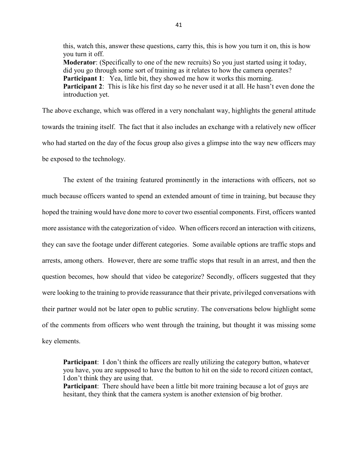this, watch this, answer these questions, carry this, this is how you turn it on, this is how you turn it off. **Moderator**: (Specifically to one of the new recruits) So you just started using it today, did you go through some sort of training as it relates to how the camera operates? **Participant 1:** Yea, little bit, they showed me how it works this morning. **Participant 2**: This is like his first day so he never used it at all. He hasn't even done the introduction yet.

The above exchange, which was offered in a very nonchalant way, highlights the general attitude towards the training itself. The fact that it also includes an exchange with a relatively new officer who had started on the day of the focus group also gives a glimpse into the way new officers may be exposed to the technology.

The extent of the training featured prominently in the interactions with officers, not so much because officers wanted to spend an extended amount of time in training, but because they hoped the training would have done more to cover two essential components. First, officers wanted more assistance with the categorization of video. When officers record an interaction with citizens, they can save the footage under different categories. Some available options are traffic stops and arrests, among others. However, there are some traffic stops that result in an arrest, and then the question becomes, how should that video be categorize? Secondly, officers suggested that they were looking to the training to provide reassurance that their private, privileged conversations with their partner would not be later open to public scrutiny. The conversations below highlight some of the comments from officers who went through the training, but thought it was missing some key elements.

**Participant**: I don't think the officers are really utilizing the category button, whatever you have, you are supposed to have the button to hit on the side to record citizen contact, I don't think they are using that.

**Participant**: There should have been a little bit more training because a lot of guys are hesitant, they think that the camera system is another extension of big brother.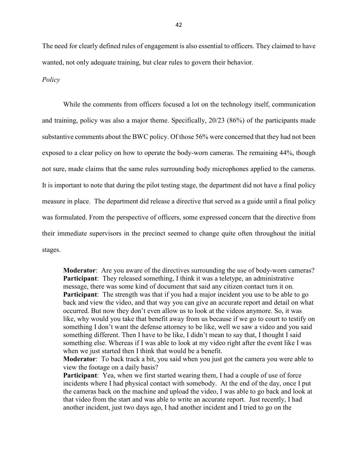The need for clearly defined rules of engagement is also essential to officers. They claimed to have wanted, not only adequate training, but clear rules to govern their behavior.

## *Policy*

While the comments from officers focused a lot on the technology itself, communication and training, policy was also a major theme. Specifically, 20/23 (86%) of the participants made substantive comments about the BWC policy. Of those 56% were concerned that they had not been exposed to a clear policy on how to operate the body-worn cameras. The remaining 44%, though not sure, made claims that the same rules surrounding body microphones applied to the cameras. It is important to note that during the pilot testing stage, the department did not have a final policy measure in place. The department did release a directive that served as a guide until a final policy was formulated. From the perspective of officers, some expressed concern that the directive from their immediate supervisors in the precinct seemed to change quite often throughout the initial stages.

**Moderator**: Are you aware of the directives surrounding the use of body-worn cameras? **Participant**: They released something, I think it was a teletype, an administrative message, there was some kind of document that said any citizen contact turn it on. **Participant**: The strength was that if you had a major incident you use to be able to go back and view the video, and that way you can give an accurate report and detail on what occurred. But now they don't even allow us to look at the videos anymore. So, it was like, why would you take that benefit away from us because if we go to court to testify on something I don't want the defense attorney to be like, well we saw a video and you said something different. Then I have to be like, I didn't mean to say that, I thought I said something else. Whereas if I was able to look at my video right after the event like I was when we just started then I think that would be a benefit.

**Moderator**: To back track a bit, you said when you just got the camera you were able to view the footage on a daily basis?

**Participant**: Yea, when we first started wearing them, I had a couple of use of force incidents where I had physical contact with somebody. At the end of the day, once I put the cameras back on the machine and upload the video, I was able to go back and look at that video from the start and was able to write an accurate report. Just recently, I had another incident, just two days ago, I had another incident and I tried to go on the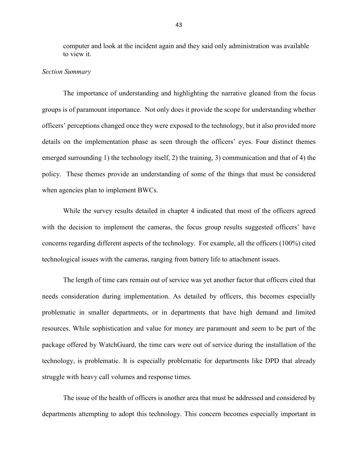computer and look at the incident again and they said only administration was available to view it.

#### *Section Summary*

The importance of understanding and highlighting the narrative gleaned from the focus groups is of paramount importance. Not only does it provide the scope for understanding whether officers' perceptions changed once they were exposed to the technology, but it also provided more details on the implementation phase as seen through the officers' eyes. Four distinct themes emerged surrounding 1) the technology itself, 2) the training, 3) communication and that of 4) the policy. These themes provide an understanding of some of the things that must be considered when agencies plan to implement BWCs.

While the survey results detailed in chapter 4 indicated that most of the officers agreed with the decision to implement the cameras, the focus group results suggested officers' have concerns regarding different aspects of the technology. For example, all the officers (100%) cited technological issues with the cameras, ranging from battery life to attachment issues.

The length of time cars remain out of service was yet another factor that officers cited that needs consideration during implementation. As detailed by officers, this becomes especially problematic in smaller departments, or in departments that have high demand and limited resources. While sophistication and value for money are paramount and seem to be part of the package offered by WatchGuard, the time cars were out of service during the installation of the technology, is problematic. It is especially problematic for departments like DPD that already struggle with heavy call volumes and response times.

The issue of the health of officers is another area that must be addressed and considered by departments attempting to adopt this technology. This concern becomes especially important in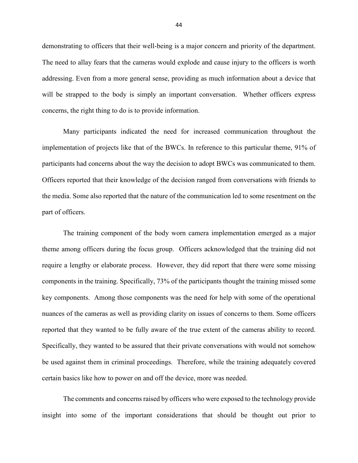demonstrating to officers that their well-being is a major concern and priority of the department. The need to allay fears that the cameras would explode and cause injury to the officers is worth addressing. Even from a more general sense, providing as much information about a device that will be strapped to the body is simply an important conversation. Whether officers express concerns, the right thing to do is to provide information.

Many participants indicated the need for increased communication throughout the implementation of projects like that of the BWCs. In reference to this particular theme, 91% of participants had concerns about the way the decision to adopt BWCs was communicated to them. Officers reported that their knowledge of the decision ranged from conversations with friends to the media. Some also reported that the nature of the communication led to some resentment on the part of officers.

The training component of the body worn camera implementation emerged as a major theme among officers during the focus group. Officers acknowledged that the training did not require a lengthy or elaborate process. However, they did report that there were some missing components in the training. Specifically, 73% of the participants thought the training missed some key components. Among those components was the need for help with some of the operational nuances of the cameras as well as providing clarity on issues of concerns to them. Some officers reported that they wanted to be fully aware of the true extent of the cameras ability to record. Specifically, they wanted to be assured that their private conversations with would not somehow be used against them in criminal proceedings. Therefore, while the training adequately covered certain basics like how to power on and off the device, more was needed.

The comments and concerns raised by officers who were exposed to the technology provide insight into some of the important considerations that should be thought out prior to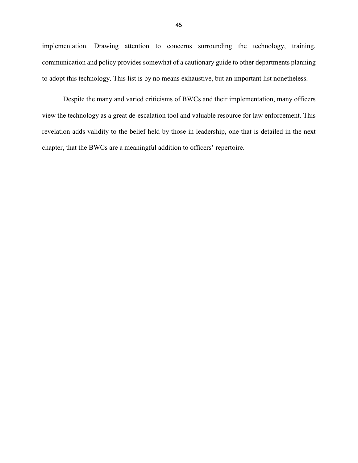implementation. Drawing attention to concerns surrounding the technology, training, communication and policy provides somewhat of a cautionary guide to other departments planning to adopt this technology. This list is by no means exhaustive, but an important list nonetheless.

Despite the many and varied criticisms of BWCs and their implementation, many officers view the technology as a great de-escalation tool and valuable resource for law enforcement. This revelation adds validity to the belief held by those in leadership, one that is detailed in the next chapter, that the BWCs are a meaningful addition to officers' repertoire.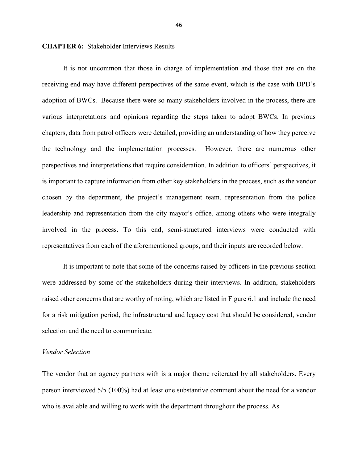#### **CHAPTER 6:** Stakeholder Interviews Results

It is not uncommon that those in charge of implementation and those that are on the receiving end may have different perspectives of the same event, which is the case with DPD's adoption of BWCs. Because there were so many stakeholders involved in the process, there are various interpretations and opinions regarding the steps taken to adopt BWCs. In previous chapters, data from patrol officers were detailed, providing an understanding of how they perceive the technology and the implementation processes. However, there are numerous other perspectives and interpretations that require consideration. In addition to officers' perspectives, it is important to capture information from other key stakeholders in the process, such as the vendor chosen by the department, the project's management team, representation from the police leadership and representation from the city mayor's office, among others who were integrally involved in the process. To this end, semi-structured interviews were conducted with representatives from each of the aforementioned groups, and their inputs are recorded below.

It is important to note that some of the concerns raised by officers in the previous section were addressed by some of the stakeholders during their interviews. In addition, stakeholders raised other concerns that are worthy of noting, which are listed in Figure 6.1 and include the need for a risk mitigation period, the infrastructural and legacy cost that should be considered, vendor selection and the need to communicate.

#### *Vendor Selection*

The vendor that an agency partners with is a major theme reiterated by all stakeholders. Every person interviewed 5/5 (100%) had at least one substantive comment about the need for a vendor who is available and willing to work with the department throughout the process. As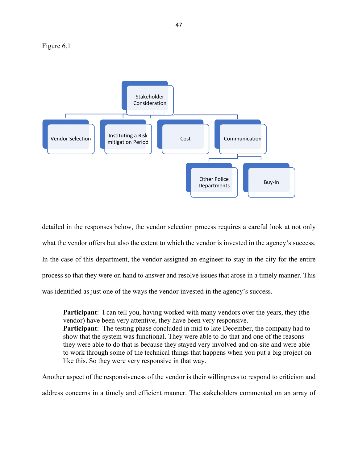Figure 6.1



detailed in the responses below, the vendor selection process requires a careful look at not only what the vendor offers but also the extent to which the vendor is invested in the agency's success. In the case of this department, the vendor assigned an engineer to stay in the city for the entire process so that they were on hand to answer and resolve issues that arose in a timely manner. This was identified as just one of the ways the vendor invested in the agency's success.

**Participant**: I can tell you, having worked with many vendors over the years, they (the vendor) have been very attentive, they have been very responsive. **Participant**: The testing phase concluded in mid to late December, the company had to show that the system was functional. They were able to do that and one of the reasons they were able to do that is because they stayed very involved and on-site and were able to work through some of the technical things that happens when you put a big project on like this. So they were very responsive in that way.

Another aspect of the responsiveness of the vendor is their willingness to respond to criticism and address concerns in a timely and efficient manner. The stakeholders commented on an array of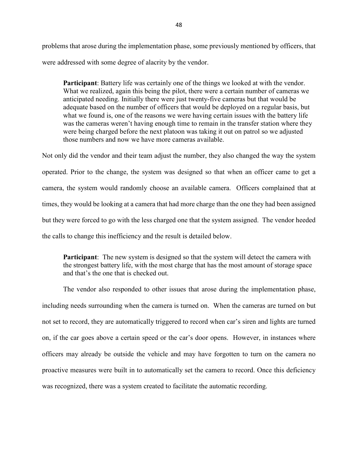problems that arose during the implementation phase, some previously mentioned by officers, that were addressed with some degree of alacrity by the vendor.

**Participant**: Battery life was certainly one of the things we looked at with the vendor. What we realized, again this being the pilot, there were a certain number of cameras we anticipated needing. Initially there were just twenty-five cameras but that would be adequate based on the number of officers that would be deployed on a regular basis, but what we found is, one of the reasons we were having certain issues with the battery life was the cameras weren't having enough time to remain in the transfer station where they were being charged before the next platoon was taking it out on patrol so we adjusted those numbers and now we have more cameras available.

Not only did the vendor and their team adjust the number, they also changed the way the system operated. Prior to the change, the system was designed so that when an officer came to get a camera, the system would randomly choose an available camera. Officers complained that at times, they would be looking at a camera that had more charge than the one they had been assigned but they were forced to go with the less charged one that the system assigned. The vendor heeded the calls to change this inefficiency and the result is detailed below.

**Participant**: The new system is designed so that the system will detect the camera with the strongest battery life, with the most charge that has the most amount of storage space and that's the one that is checked out.

The vendor also responded to other issues that arose during the implementation phase, including needs surrounding when the camera is turned on. When the cameras are turned on but not set to record, they are automatically triggered to record when car's siren and lights are turned on, if the car goes above a certain speed or the car's door opens. However, in instances where officers may already be outside the vehicle and may have forgotten to turn on the camera no proactive measures were built in to automatically set the camera to record. Once this deficiency was recognized, there was a system created to facilitate the automatic recording.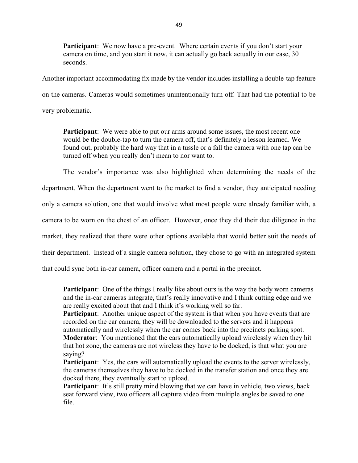**Participant**: We now have a pre-event. Where certain events if you don't start your camera on time, and you start it now, it can actually go back actually in our case, 30 seconds.

Another important accommodating fix made by the vendor includes installing a double-tap feature on the cameras. Cameras would sometimes unintentionally turn off. That had the potential to be very problematic.

**Participant**: We were able to put our arms around some issues, the most recent one would be the double-tap to turn the camera off, that's definitely a lesson learned. We found out, probably the hard way that in a tussle or a fall the camera with one tap can be turned off when you really don't mean to nor want to.

The vendor's importance was also highlighted when determining the needs of the department. When the department went to the market to find a vendor, they anticipated needing only a camera solution, one that would involve what most people were already familiar with, a camera to be worn on the chest of an officer. However, once they did their due diligence in the market, they realized that there were other options available that would better suit the needs of their department. Instead of a single camera solution, they chose to go with an integrated system that could sync both in-car camera, officer camera and a portal in the precinct.

**Participant**: One of the things I really like about ours is the way the body worn cameras and the in-car cameras integrate, that's really innovative and I think cutting edge and we are really excited about that and I think it's working well so far.

**Participant**: Another unique aspect of the system is that when you have events that are recorded on the car camera, they will be downloaded to the servers and it happens automatically and wirelessly when the car comes back into the precincts parking spot. **Moderator**: You mentioned that the cars automatically upload wirelessly when they hit

that hot zone, the cameras are not wireless they have to be docked, is that what you are saying?

**Participant**: Yes, the cars will automatically upload the events to the server wirelessly, the cameras themselves they have to be docked in the transfer station and once they are docked there, they eventually start to upload.

**Participant**: It's still pretty mind blowing that we can have in vehicle, two views, back seat forward view, two officers all capture video from multiple angles be saved to one file.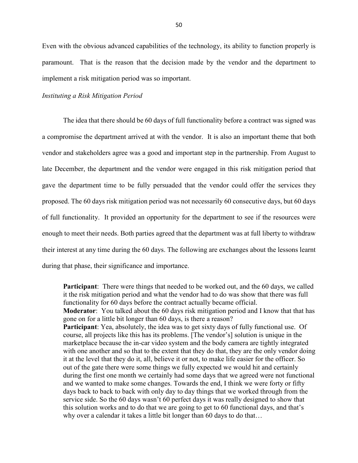Even with the obvious advanced capabilities of the technology, its ability to function properly is paramount. That is the reason that the decision made by the vendor and the department to implement a risk mitigation period was so important.

## *Instituting a Risk Mitigation Period*

The idea that there should be 60 days of full functionality before a contract was signed was a compromise the department arrived at with the vendor. It is also an important theme that both vendor and stakeholders agree was a good and important step in the partnership. From August to late December, the department and the vendor were engaged in this risk mitigation period that gave the department time to be fully persuaded that the vendor could offer the services they proposed. The 60 days risk mitigation period was not necessarily 60 consecutive days, but 60 days of full functionality. It provided an opportunity for the department to see if the resources were enough to meet their needs. Both parties agreed that the department was at full liberty to withdraw their interest at any time during the 60 days. The following are exchanges about the lessons learnt during that phase, their significance and importance.

**Participant**: There were things that needed to be worked out, and the 60 days, we called it the risk mitigation period and what the vendor had to do was show that there was full functionality for 60 days before the contract actually became official. **Moderator**: You talked about the 60 days risk mitigation period and I know that that has gone on for a little bit longer than 60 days, is there a reason? **Participant**: Yea, absolutely, the idea was to get sixty days of fully functional use. Of course, all projects like this has its problems. [The vendor's] solution is unique in the marketplace because the in-car video system and the body camera are tightly integrated with one another and so that to the extent that they do that, they are the only vendor doing it at the level that they do it, all, believe it or not, to make life easier for the officer. So out of the gate there were some things we fully expected we would hit and certainly during the first one month we certainly had some days that we agreed were not functional and we wanted to make some changes. Towards the end, I think we were forty or fifty days back to back to back with only day to day things that we worked through from the service side. So the 60 days wasn't 60 perfect days it was really designed to show that this solution works and to do that we are going to get to 60 functional days, and that's why over a calendar it takes a little bit longer than 60 days to do that...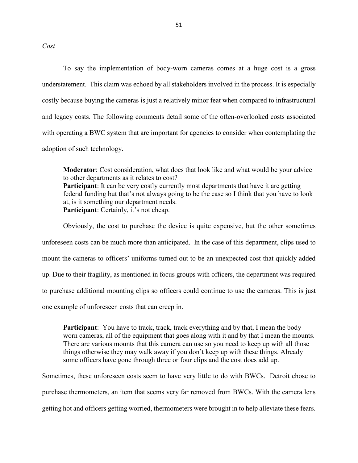*Cost* 

To say the implementation of body-worn cameras comes at a huge cost is a gross understatement. This claim was echoed by all stakeholders involved in the process. It is especially costly because buying the cameras is just a relatively minor feat when compared to infrastructural and legacy costs. The following comments detail some of the often-overlooked costs associated with operating a BWC system that are important for agencies to consider when contemplating the adoption of such technology.

**Moderator**: Cost consideration, what does that look like and what would be your advice to other departments as it relates to cost? **Participant**: It can be very costly currently most departments that have it are getting federal funding but that's not always going to be the case so I think that you have to look at, is it something our department needs. **Participant**: Certainly, it's not cheap.

Obviously, the cost to purchase the device is quite expensive, but the other sometimes unforeseen costs can be much more than anticipated. In the case of this department, clips used to mount the cameras to officers' uniforms turned out to be an unexpected cost that quickly added up. Due to their fragility, as mentioned in focus groups with officers, the department was required to purchase additional mounting clips so officers could continue to use the cameras. This is just one example of unforeseen costs that can creep in.

**Participant**: You have to track, track, track everything and by that, I mean the body worn cameras, all of the equipment that goes along with it and by that I mean the mounts. There are various mounts that this camera can use so you need to keep up with all those things otherwise they may walk away if you don't keep up with these things. Already some officers have gone through three or four clips and the cost does add up.

Sometimes, these unforeseen costs seem to have very little to do with BWCs. Detroit chose to purchase thermometers, an item that seems very far removed from BWCs. With the camera lens getting hot and officers getting worried, thermometers were brought in to help alleviate these fears.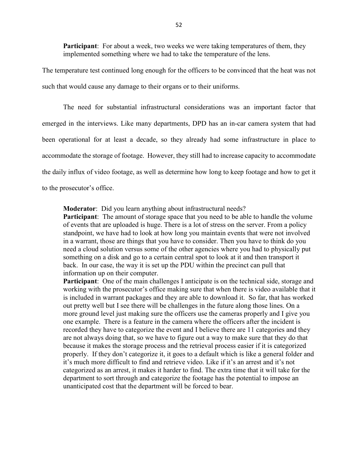**Participant**: For about a week, two weeks we were taking temperatures of them, they implemented something where we had to take the temperature of the lens.

The temperature test continued long enough for the officers to be convinced that the heat was not such that would cause any damage to their organs or to their uniforms.

The need for substantial infrastructural considerations was an important factor that emerged in the interviews. Like many departments, DPD has an in-car camera system that had been operational for at least a decade, so they already had some infrastructure in place to accommodate the storage of footage. However, they still had to increase capacity to accommodate the daily influx of video footage, as well as determine how long to keep footage and how to get it to the prosecutor's office.

**Moderator**: Did you learn anything about infrastructural needs?

**Participant**: The amount of storage space that you need to be able to handle the volume of events that are uploaded is huge. There is a lot of stress on the server. From a policy standpoint, we have had to look at how long you maintain events that were not involved in a warrant, those are things that you have to consider. Then you have to think do you need a cloud solution versus some of the other agencies where you had to physically put something on a disk and go to a certain central spot to look at it and then transport it back. In our case, the way it is set up the PDU within the precinct can pull that information up on their computer.

**Participant**: One of the main challenges I anticipate is on the technical side, storage and working with the prosecutor's office making sure that when there is video available that it is included in warrant packages and they are able to download it. So far, that has worked out pretty well but I see there will be challenges in the future along those lines. On a more ground level just making sure the officers use the cameras properly and I give you one example. There is a feature in the camera where the officers after the incident is recorded they have to categorize the event and I believe there are 11 categories and they are not always doing that, so we have to figure out a way to make sure that they do that because it makes the storage process and the retrieval process easier if it is categorized properly. If they don't categorize it, it goes to a default which is like a general folder and it's much more difficult to find and retrieve video. Like if it's an arrest and it's not categorized as an arrest, it makes it harder to find. The extra time that it will take for the department to sort through and categorize the footage has the potential to impose an unanticipated cost that the department will be forced to bear.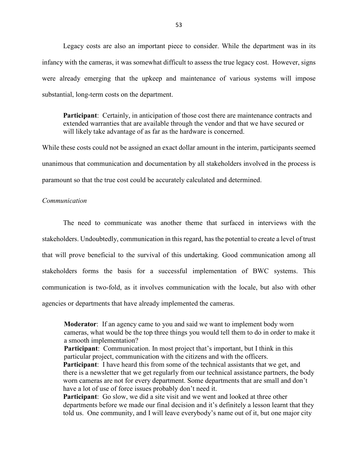Legacy costs are also an important piece to consider. While the department was in its infancy with the cameras, it was somewhat difficult to assess the true legacy cost. However, signs were already emerging that the upkeep and maintenance of various systems will impose substantial, long-term costs on the department.

**Participant**: Certainly, in anticipation of those cost there are maintenance contracts and extended warranties that are available through the vendor and that we have secured or will likely take advantage of as far as the hardware is concerned.

While these costs could not be assigned an exact dollar amount in the interim, participants seemed unanimous that communication and documentation by all stakeholders involved in the process is paramount so that the true cost could be accurately calculated and determined.

## *Communication*

The need to communicate was another theme that surfaced in interviews with the stakeholders. Undoubtedly, communication in this regard, has the potential to create a level of trust that will prove beneficial to the survival of this undertaking. Good communication among all stakeholders forms the basis for a successful implementation of BWC systems. This communication is two-fold, as it involves communication with the locale, but also with other agencies or departments that have already implemented the cameras.

**Moderator**: If an agency came to you and said we want to implement body worn cameras, what would be the top three things you would tell them to do in order to make it a smooth implementation?

**Participant**: Communication. In most project that's important, but I think in this particular project, communication with the citizens and with the officers.

**Participant**: I have heard this from some of the technical assistants that we get, and there is a newsletter that we get regularly from our technical assistance partners, the body worn cameras are not for every department. Some departments that are small and don't have a lot of use of force issues probably don't need it.

**Participant**: Go slow, we did a site visit and we went and looked at three other departments before we made our final decision and it's definitely a lesson learnt that they told us. One community, and I will leave everybody's name out of it, but one major city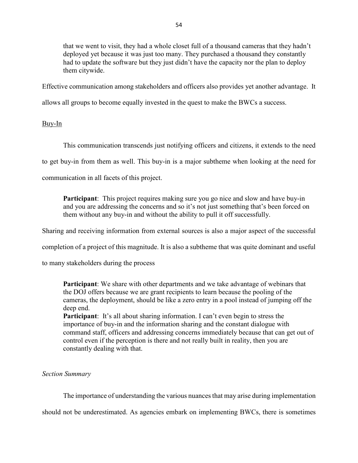that we went to visit, they had a whole closet full of a thousand cameras that they hadn't deployed yet because it was just too many. They purchased a thousand they constantly had to update the software but they just didn't have the capacity nor the plan to deploy them citywide.

Effective communication among stakeholders and officers also provides yet another advantage. It

allows all groups to become equally invested in the quest to make the BWCs a success.

# Buy-In

This communication transcends just notifying officers and citizens, it extends to the need

to get buy-in from them as well. This buy-in is a major subtheme when looking at the need for

communication in all facets of this project.

**Participant**: This project requires making sure you go nice and slow and have buy-in and you are addressing the concerns and so it's not just something that's been forced on them without any buy-in and without the ability to pull it off successfully.

Sharing and receiving information from external sources is also a major aspect of the successful

completion of a project of this magnitude. It is also a subtheme that was quite dominant and useful

to many stakeholders during the process

**Participant**: We share with other departments and we take advantage of webinars that the DOJ offers because we are grant recipients to learn because the pooling of the cameras, the deployment, should be like a zero entry in a pool instead of jumping off the deep end.

**Participant**: It's all about sharing information. I can't even begin to stress the importance of buy-in and the information sharing and the constant dialogue with command staff, officers and addressing concerns immediately because that can get out of control even if the perception is there and not really built in reality, then you are constantly dealing with that.

# *Section Summary*

The importance of understanding the various nuances that may arise during implementation

should not be underestimated. As agencies embark on implementing BWCs, there is sometimes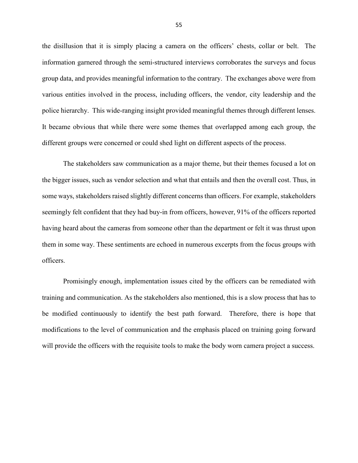the disillusion that it is simply placing a camera on the officers' chests, collar or belt. The information garnered through the semi-structured interviews corroborates the surveys and focus group data, and provides meaningful information to the contrary. The exchanges above were from various entities involved in the process, including officers, the vendor, city leadership and the police hierarchy. This wide-ranging insight provided meaningful themes through different lenses. It became obvious that while there were some themes that overlapped among each group, the different groups were concerned or could shed light on different aspects of the process.

The stakeholders saw communication as a major theme, but their themes focused a lot on the bigger issues, such as vendor selection and what that entails and then the overall cost. Thus, in some ways, stakeholders raised slightly different concerns than officers. For example, stakeholders seemingly felt confident that they had buy-in from officers, however, 91% of the officers reported having heard about the cameras from someone other than the department or felt it was thrust upon them in some way. These sentiments are echoed in numerous excerpts from the focus groups with officers.

Promisingly enough, implementation issues cited by the officers can be remediated with training and communication. As the stakeholders also mentioned, this is a slow process that has to be modified continuously to identify the best path forward. Therefore, there is hope that modifications to the level of communication and the emphasis placed on training going forward will provide the officers with the requisite tools to make the body worn camera project a success.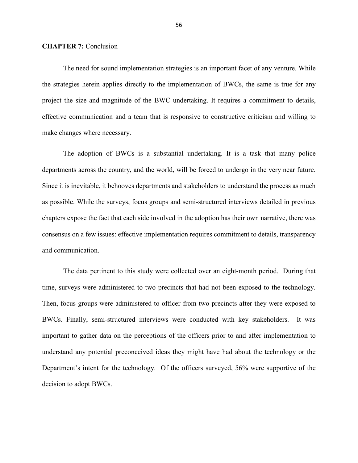#### **CHAPTER 7:** Conclusion

The need for sound implementation strategies is an important facet of any venture. While the strategies herein applies directly to the implementation of BWCs, the same is true for any project the size and magnitude of the BWC undertaking. It requires a commitment to details, effective communication and a team that is responsive to constructive criticism and willing to make changes where necessary.

The adoption of BWCs is a substantial undertaking. It is a task that many police departments across the country, and the world, will be forced to undergo in the very near future. Since it is inevitable, it behooves departments and stakeholders to understand the process as much as possible. While the surveys, focus groups and semi-structured interviews detailed in previous chapters expose the fact that each side involved in the adoption has their own narrative, there was consensus on a few issues: effective implementation requires commitment to details, transparency and communication.

The data pertinent to this study were collected over an eight-month period. During that time, surveys were administered to two precincts that had not been exposed to the technology. Then, focus groups were administered to officer from two precincts after they were exposed to BWCs. Finally, semi-structured interviews were conducted with key stakeholders. It was important to gather data on the perceptions of the officers prior to and after implementation to understand any potential preconceived ideas they might have had about the technology or the Department's intent for the technology. Of the officers surveyed, 56% were supportive of the decision to adopt BWCs.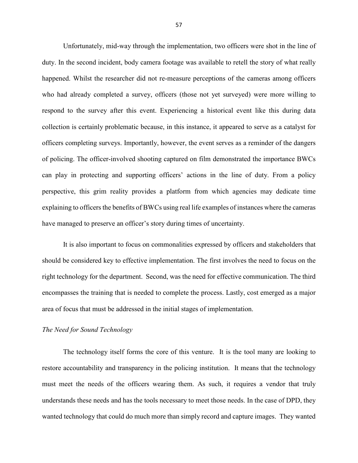Unfortunately, mid-way through the implementation, two officers were shot in the line of duty. In the second incident, body camera footage was available to retell the story of what really happened. Whilst the researcher did not re-measure perceptions of the cameras among officers who had already completed a survey, officers (those not yet surveyed) were more willing to respond to the survey after this event. Experiencing a historical event like this during data collection is certainly problematic because, in this instance, it appeared to serve as a catalyst for officers completing surveys. Importantly, however, the event serves as a reminder of the dangers of policing. The officer-involved shooting captured on film demonstrated the importance BWCs can play in protecting and supporting officers' actions in the line of duty. From a policy perspective, this grim reality provides a platform from which agencies may dedicate time explaining to officers the benefits of BWCs using real life examples of instances where the cameras have managed to preserve an officer's story during times of uncertainty.

It is also important to focus on commonalities expressed by officers and stakeholders that should be considered key to effective implementation. The first involves the need to focus on the right technology for the department. Second, was the need for effective communication. The third encompasses the training that is needed to complete the process. Lastly, cost emerged as a major area of focus that must be addressed in the initial stages of implementation.

## *The Need for Sound Technology*

The technology itself forms the core of this venture. It is the tool many are looking to restore accountability and transparency in the policing institution. It means that the technology must meet the needs of the officers wearing them. As such, it requires a vendor that truly understands these needs and has the tools necessary to meet those needs. In the case of DPD, they wanted technology that could do much more than simply record and capture images. They wanted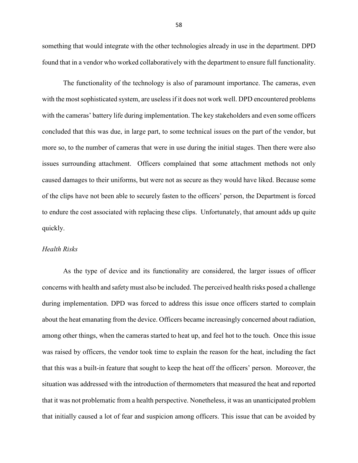something that would integrate with the other technologies already in use in the department. DPD found that in a vendor who worked collaboratively with the department to ensure full functionality.

The functionality of the technology is also of paramount importance. The cameras, even with the most sophisticated system, are useless if it does not work well. DPD encountered problems with the cameras' battery life during implementation. The key stakeholders and even some officers concluded that this was due, in large part, to some technical issues on the part of the vendor, but more so, to the number of cameras that were in use during the initial stages. Then there were also issues surrounding attachment. Officers complained that some attachment methods not only caused damages to their uniforms, but were not as secure as they would have liked. Because some of the clips have not been able to securely fasten to the officers' person, the Department is forced to endure the cost associated with replacing these clips. Unfortunately, that amount adds up quite quickly.

## *Health Risks*

As the type of device and its functionality are considered, the larger issues of officer concerns with health and safety must also be included. The perceived health risks posed a challenge during implementation. DPD was forced to address this issue once officers started to complain about the heat emanating from the device. Officers became increasingly concerned about radiation, among other things, when the cameras started to heat up, and feel hot to the touch. Once this issue was raised by officers, the vendor took time to explain the reason for the heat, including the fact that this was a built-in feature that sought to keep the heat off the officers' person. Moreover, the situation was addressed with the introduction of thermometers that measured the heat and reported that it was not problematic from a health perspective. Nonetheless, it was an unanticipated problem that initially caused a lot of fear and suspicion among officers. This issue that can be avoided by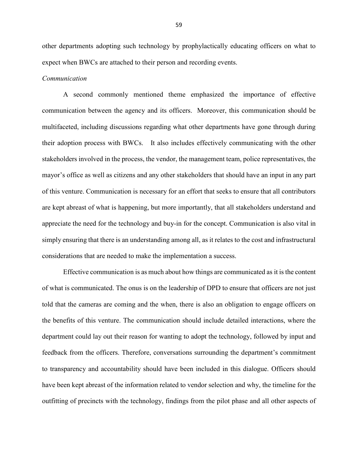other departments adopting such technology by prophylactically educating officers on what to expect when BWCs are attached to their person and recording events.

#### *Communication*

A second commonly mentioned theme emphasized the importance of effective communication between the agency and its officers. Moreover, this communication should be multifaceted, including discussions regarding what other departments have gone through during their adoption process with BWCs. It also includes effectively communicating with the other stakeholders involved in the process, the vendor, the management team, police representatives, the mayor's office as well as citizens and any other stakeholders that should have an input in any part of this venture. Communication is necessary for an effort that seeks to ensure that all contributors are kept abreast of what is happening, but more importantly, that all stakeholders understand and appreciate the need for the technology and buy-in for the concept. Communication is also vital in simply ensuring that there is an understanding among all, as it relates to the cost and infrastructural considerations that are needed to make the implementation a success.

Effective communication is as much about how things are communicated as it is the content of what is communicated. The onus is on the leadership of DPD to ensure that officers are not just told that the cameras are coming and the when, there is also an obligation to engage officers on the benefits of this venture. The communication should include detailed interactions, where the department could lay out their reason for wanting to adopt the technology, followed by input and feedback from the officers. Therefore, conversations surrounding the department's commitment to transparency and accountability should have been included in this dialogue. Officers should have been kept abreast of the information related to vendor selection and why, the timeline for the outfitting of precincts with the technology, findings from the pilot phase and all other aspects of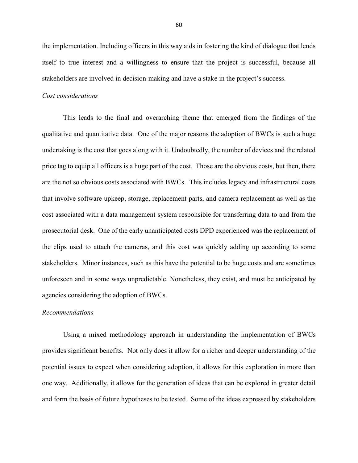the implementation. Including officers in this way aids in fostering the kind of dialogue that lends itself to true interest and a willingness to ensure that the project is successful, because all stakeholders are involved in decision-making and have a stake in the project's success.

#### *Cost considerations*

This leads to the final and overarching theme that emerged from the findings of the qualitative and quantitative data. One of the major reasons the adoption of BWCs is such a huge undertaking is the cost that goes along with it. Undoubtedly, the number of devices and the related price tag to equip all officers is a huge part of the cost. Those are the obvious costs, but then, there are the not so obvious costs associated with BWCs. This includes legacy and infrastructural costs that involve software upkeep, storage, replacement parts, and camera replacement as well as the cost associated with a data management system responsible for transferring data to and from the prosecutorial desk. One of the early unanticipated costs DPD experienced was the replacement of the clips used to attach the cameras, and this cost was quickly adding up according to some stakeholders. Minor instances, such as this have the potential to be huge costs and are sometimes unforeseen and in some ways unpredictable. Nonetheless, they exist, and must be anticipated by agencies considering the adoption of BWCs.

## *Recommendations*

Using a mixed methodology approach in understanding the implementation of BWCs provides significant benefits. Not only does it allow for a richer and deeper understanding of the potential issues to expect when considering adoption, it allows for this exploration in more than one way. Additionally, it allows for the generation of ideas that can be explored in greater detail and form the basis of future hypotheses to be tested. Some of the ideas expressed by stakeholders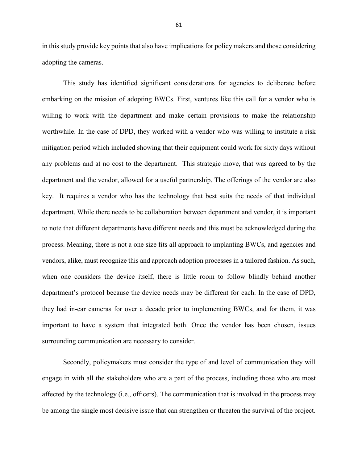in this study provide key points that also have implications for policy makers and those considering adopting the cameras.

This study has identified significant considerations for agencies to deliberate before embarking on the mission of adopting BWCs. First, ventures like this call for a vendor who is willing to work with the department and make certain provisions to make the relationship worthwhile. In the case of DPD, they worked with a vendor who was willing to institute a risk mitigation period which included showing that their equipment could work for sixty days without any problems and at no cost to the department. This strategic move, that was agreed to by the department and the vendor, allowed for a useful partnership. The offerings of the vendor are also key. It requires a vendor who has the technology that best suits the needs of that individual department. While there needs to be collaboration between department and vendor, it is important to note that different departments have different needs and this must be acknowledged during the process. Meaning, there is not a one size fits all approach to implanting BWCs, and agencies and vendors, alike, must recognize this and approach adoption processes in a tailored fashion. As such, when one considers the device itself, there is little room to follow blindly behind another department's protocol because the device needs may be different for each. In the case of DPD, they had in-car cameras for over a decade prior to implementing BWCs, and for them, it was important to have a system that integrated both. Once the vendor has been chosen, issues surrounding communication are necessary to consider.

Secondly, policymakers must consider the type of and level of communication they will engage in with all the stakeholders who are a part of the process, including those who are most affected by the technology (i.e., officers). The communication that is involved in the process may be among the single most decisive issue that can strengthen or threaten the survival of the project.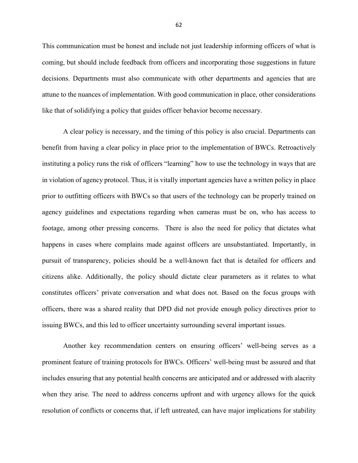This communication must be honest and include not just leadership informing officers of what is coming, but should include feedback from officers and incorporating those suggestions in future decisions. Departments must also communicate with other departments and agencies that are attune to the nuances of implementation. With good communication in place, other considerations like that of solidifying a policy that guides officer behavior become necessary.

A clear policy is necessary, and the timing of this policy is also crucial. Departments can benefit from having a clear policy in place prior to the implementation of BWCs. Retroactively instituting a policy runs the risk of officers "learning" how to use the technology in ways that are in violation of agency protocol. Thus, it is vitally important agencies have a written policy in place prior to outfitting officers with BWCs so that users of the technology can be properly trained on agency guidelines and expectations regarding when cameras must be on, who has access to footage, among other pressing concerns. There is also the need for policy that dictates what happens in cases where complains made against officers are unsubstantiated. Importantly, in pursuit of transparency, policies should be a well-known fact that is detailed for officers and citizens alike. Additionally, the policy should dictate clear parameters as it relates to what constitutes officers' private conversation and what does not. Based on the focus groups with officers, there was a shared reality that DPD did not provide enough policy directives prior to issuing BWCs, and this led to officer uncertainty surrounding several important issues.

Another key recommendation centers on ensuring officers' well-being serves as a prominent feature of training protocols for BWCs. Officers' well-being must be assured and that includes ensuring that any potential health concerns are anticipated and or addressed with alacrity when they arise. The need to address concerns upfront and with urgency allows for the quick resolution of conflicts or concerns that, if left untreated, can have major implications for stability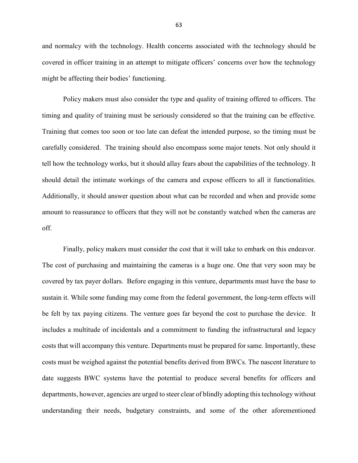and normalcy with the technology. Health concerns associated with the technology should be covered in officer training in an attempt to mitigate officers' concerns over how the technology might be affecting their bodies' functioning.

Policy makers must also consider the type and quality of training offered to officers. The timing and quality of training must be seriously considered so that the training can be effective. Training that comes too soon or too late can defeat the intended purpose, so the timing must be carefully considered. The training should also encompass some major tenets. Not only should it tell how the technology works, but it should allay fears about the capabilities of the technology. It should detail the intimate workings of the camera and expose officers to all it functionalities. Additionally, it should answer question about what can be recorded and when and provide some amount to reassurance to officers that they will not be constantly watched when the cameras are off.

Finally, policy makers must consider the cost that it will take to embark on this endeavor. The cost of purchasing and maintaining the cameras is a huge one. One that very soon may be covered by tax payer dollars. Before engaging in this venture, departments must have the base to sustain it. While some funding may come from the federal government, the long-term effects will be felt by tax paying citizens. The venture goes far beyond the cost to purchase the device. It includes a multitude of incidentals and a commitment to funding the infrastructural and legacy costs that will accompany this venture. Departments must be prepared for same. Importantly, these costs must be weighed against the potential benefits derived from BWCs. The nascent literature to date suggests BWC systems have the potential to produce several benefits for officers and departments, however, agencies are urged to steer clear of blindly adopting this technology without understanding their needs, budgetary constraints, and some of the other aforementioned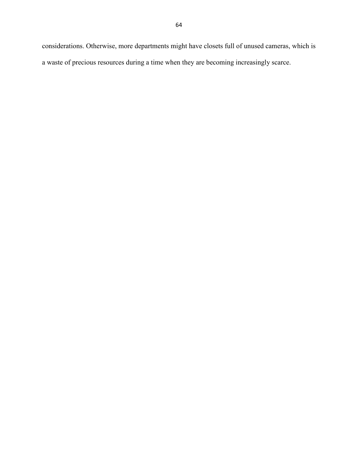considerations. Otherwise, more departments might have closets full of unused cameras, which is a waste of precious resources during a time when they are becoming increasingly scarce.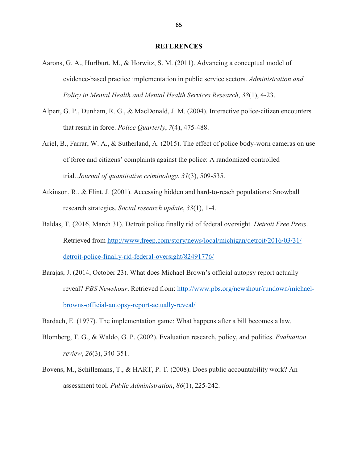#### **REFERENCES**

- Aarons, G. A., Hurlburt, M., & Horwitz, S. M. (2011). Advancing a conceptual model of evidence-based practice implementation in public service sectors. *Administration and Policy in Mental Health and Mental Health Services Research*, *38*(1), 4-23.
- Alpert, G. P., Dunham, R. G., & MacDonald, J. M. (2004). Interactive police-citizen encounters that result in force. *Police Quarterly*, *7*(4), 475-488.
- Ariel, B., Farrar, W. A., & Sutherland, A. (2015). The effect of police body-worn cameras on use of force and citizens' complaints against the police: A randomized controlled trial. *Journal of quantitative criminology*, *31*(3), 509-535.
- Atkinson, R., & Flint, J. (2001). Accessing hidden and hard-to-reach populations: Snowball research strategies. *Social research update*, *33*(1), 1-4.
- Baldas, T. (2016, March 31). Detroit police finally rid of federal oversight. *Detroit Free Press*. Retrieved from http://www.freep.com/story/news/local/michigan/detroit/2016/03/31/ detroit-police-finally-rid-federal-oversight/82491776/
- Barajas, J. (2014, October 23). What does Michael Brown's official autopsy report actually reveal? *PBS Newshour*. Retrieved from: http://www.pbs.org/newshour/rundown/michaelbrowns-official-autopsy-report-actually-reveal/
- Bardach, E. (1977). The implementation game: What happens after a bill becomes a law.
- Blomberg, T. G., & Waldo, G. P. (2002). Evaluation research, policy, and politics. *Evaluation review*, *26*(3), 340-351.
- Bovens, M., Schillemans, T., & HART, P. T. (2008). Does public accountability work? An assessment tool. *Public Administration*, *86*(1), 225-242.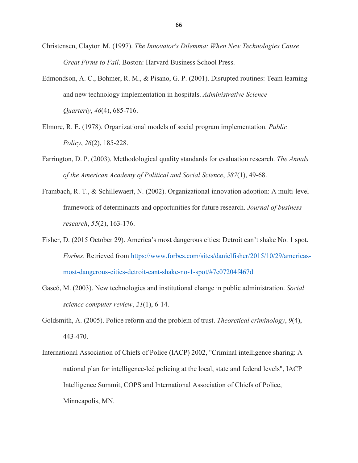- Christensen, Clayton M. (1997). *The Innovator's Dilemma: When New Technologies Cause Great Firms to Fail*. Boston: Harvard Business School Press.
- Edmondson, A. C., Bohmer, R. M., & Pisano, G. P. (2001). Disrupted routines: Team learning and new technology implementation in hospitals. *Administrative Science Quarterly*, *46*(4), 685-716.
- Elmore, R. E. (1978). Organizational models of social program implementation. *Public Policy*, *26*(2), 185-228.
- Farrington, D. P. (2003). Methodological quality standards for evaluation research. *The Annals of the American Academy of Political and Social Science*, *587*(1), 49-68.
- Frambach, R. T., & Schillewaert, N. (2002). Organizational innovation adoption: A multi-level framework of determinants and opportunities for future research. *Journal of business research*, *55*(2), 163-176.
- Fisher, D. (2015 October 29). America's most dangerous cities: Detroit can't shake No. 1 spot. *Forbes*. Retrieved from https://www.forbes.com/sites/danielfisher/2015/10/29/americasmost-dangerous-cities-detroit-cant-shake-no-1-spot/#7c07204f467d
- Gascó, M. (2003). New technologies and institutional change in public administration. *Social science computer review*, *21*(1), 6-14.
- Goldsmith, A. (2005). Police reform and the problem of trust. *Theoretical criminology*, *9*(4), 443-470.
- International Association of Chiefs of Police (IACP) 2002, "Criminal intelligence sharing: A national plan for intelligence-led policing at the local, state and federal levels", IACP Intelligence Summit, COPS and International Association of Chiefs of Police, Minneapolis, MN.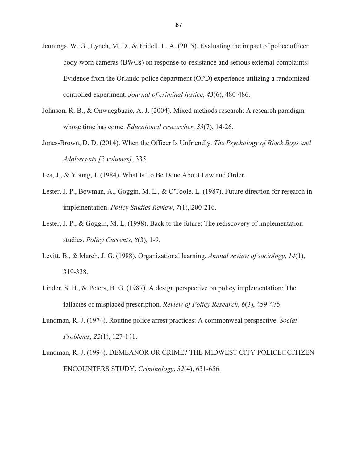- Jennings, W. G., Lynch, M. D., & Fridell, L. A. (2015). Evaluating the impact of police officer body-worn cameras (BWCs) on response-to-resistance and serious external complaints: Evidence from the Orlando police department (OPD) experience utilizing a randomized controlled experiment. *Journal of criminal justice*, *43*(6), 480-486.
- Johnson, R. B., & Onwuegbuzie, A. J. (2004). Mixed methods research: A research paradigm whose time has come. *Educational researcher*, *33*(7), 14-26.
- Jones-Brown, D. D. (2014). When the Officer Is Unfriendly. *The Psychology of Black Boys and Adolescents [2 volumes]*, 335.
- Lea, J., & Young, J. (1984). What Is To Be Done About Law and Order.
- Lester, J. P., Bowman, A., Goggin, M. L., & O'Toole, L. (1987). Future direction for research in implementation. *Policy Studies Review*, *7*(1), 200-216.
- Lester, J. P., & Goggin, M. L. (1998). Back to the future: The rediscovery of implementation studies. *Policy Currents*, *8*(3), 1-9.
- Levitt, B., & March, J. G. (1988). Organizational learning. *Annual review of sociology*, *14*(1), 319-338.
- Linder, S. H., & Peters, B. G. (1987). A design perspective on policy implementation: The fallacies of misplaced prescription. *Review of Policy Research*, *6*(3), 459-475.
- Lundman, R. J. (1974). Routine police arrest practices: A commonweal perspective. *Social Problems*, *22*(1), 127-141.
- Lundman, R. J. (1994). DEMEANOR OR CRIME? THE MIDWEST CITY POLICE  $\Box$ CITIZEN ENCOUNTERS STUDY. *Criminology*, *32*(4), 631-656.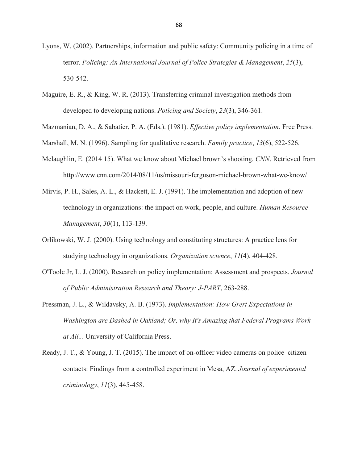- Lyons, W. (2002). Partnerships, information and public safety: Community policing in a time of terror. *Policing: An International Journal of Police Strategies & Management*, *25*(3), 530-542.
- Maguire, E. R., & King, W. R. (2013). Transferring criminal investigation methods from developed to developing nations. *Policing and Society*, *23*(3), 346-361.

Mazmanian, D. A., & Sabatier, P. A. (Eds.). (1981). *Effective policy implementation*. Free Press.

- Marshall, M. N. (1996). Sampling for qualitative research. *Family practice*, *13*(6), 522-526.
- Mclaughlin, E. (2014 15). What we know about Michael brown's shooting. *CNN*. Retrieved from http://www.cnn.com/2014/08/11/us/missouri-ferguson-michael-brown-what-we-know/
- Mirvis, P. H., Sales, A. L., & Hackett, E. J. (1991). The implementation and adoption of new technology in organizations: the impact on work, people, and culture. *Human Resource Management*, *30*(1), 113-139.
- Orlikowski, W. J. (2000). Using technology and constituting structures: A practice lens for studying technology in organizations. *Organization science*, *11*(4), 404-428.
- O'Toole Jr, L. J. (2000). Research on policy implementation: Assessment and prospects. *Journal of Public Administration Research and Theory: J-PART*, 263-288.
- Pressman, J. L., & Wildavsky, A. B. (1973). *Implementation: How Grert Expectations in Washington are Dashed in Oakland; Or, why It's Amazing that Federal Programs Work at All..*. University of California Press.
- Ready, J. T., & Young, J. T. (2015). The impact of on-officer video cameras on police–citizen contacts: Findings from a controlled experiment in Mesa, AZ. *Journal of experimental criminology*, *11*(3), 445-458.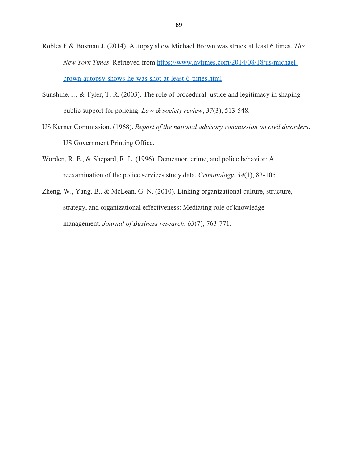- Robles F & Bosman J. (2014). Autopsy show Michael Brown was struck at least 6 times. *The New York Times*. Retrieved from https://www.nytimes.com/2014/08/18/us/michaelbrown-autopsy-shows-he-was-shot-at-least-6-times.html
- Sunshine, J., & Tyler, T. R. (2003). The role of procedural justice and legitimacy in shaping public support for policing. *Law & society review*, *37*(3), 513-548.
- US Kerner Commission. (1968). *Report of the national advisory commission on civil disorders*. US Government Printing Office.
- Worden, R. E., & Shepard, R. L. (1996). Demeanor, crime, and police behavior: A reexamination of the police services study data. *Criminology*, *34*(1), 83-105.
- Zheng, W., Yang, B., & McLean, G. N. (2010). Linking organizational culture, structure, strategy, and organizational effectiveness: Mediating role of knowledge management. *Journal of Business research*, *63*(7), 763-771.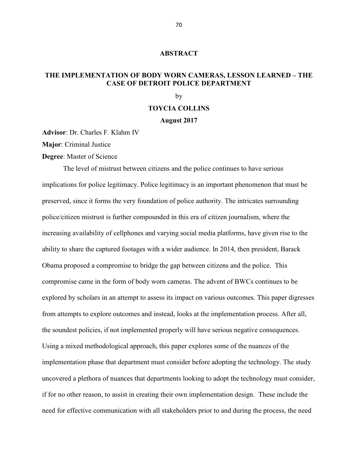## **ABSTRACT**

## **THE IMPLEMENTATION OF BODY WORN CAMERAS, LESSON LEARNED – THE CASE OF DETROIT POLICE DEPARTMENT**

by

## **TOYCIA COLLINS**

## **August 2017**

**Advisor**: Dr. Charles F. Klahm IV

**Major**: Criminal Justice

**Degree**: Master of Science

 The level of mistrust between citizens and the police continues to have serious implications for police legitimacy. Police legitimacy is an important phenomenon that must be preserved, since it forms the very foundation of police authority. The intricates surrounding police/citizen mistrust is further compounded in this era of citizen journalism, where the increasing availability of cellphones and varying social media platforms, have given rise to the ability to share the captured footages with a wider audience. In 2014, then president, Barack Obama proposed a compromise to bridge the gap between citizens and the police. This compromise came in the form of body worn cameras. The advent of BWCs continues to be explored by scholars in an attempt to assess its impact on various outcomes. This paper digresses from attempts to explore outcomes and instead, looks at the implementation process. After all, the soundest policies, if not implemented properly will have serious negative consequences. Using a mixed methodological approach, this paper explores some of the nuances of the implementation phase that department must consider before adopting the technology. The study uncovered a plethora of nuances that departments looking to adopt the technology must consider, if for no other reason, to assist in creating their own implementation design. These include the need for effective communication with all stakeholders prior to and during the process, the need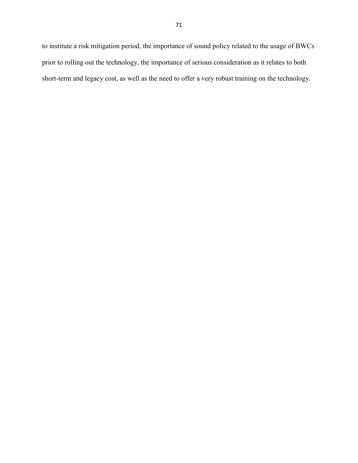to institute a risk mitigation period, the importance of sound policy related to the usage of BWCs prior to rolling out the technology, the importance of serious consideration as it relates to both short-term and legacy cost, as well as the need to offer a very robust training on the technology.